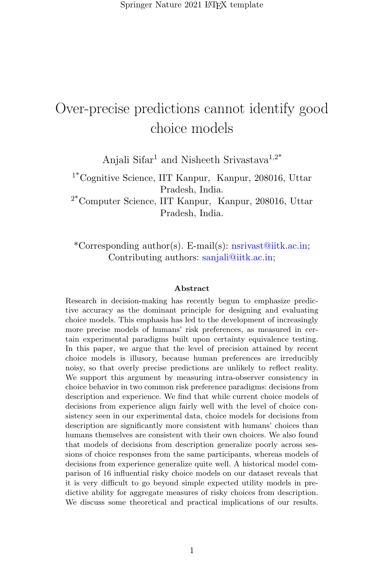# Over-precise predictions cannot identify good choice models

Anjali Sifar<sup>1</sup> and Nisheeth Srivastava<sup>1,2\*</sup>

1\*Cognitive Science, IIT Kanpur, Kanpur, 208016, Uttar Pradesh, India.

2\*Computer Science, IIT Kanpur, Kanpur, 208016, Uttar Pradesh, India.

\*Corresponding author(s). E-mail(s): nsrivast@iitk.ac.in; Contributing authors: sanjali@iitk.ac.in;

#### Abstract

Research in decision-making has recently begun to emphasize predictive accuracy as the dominant principle for designing and evaluating choice models. This emphasis has led to the development of increasingly more precise models of humans' risk preferences, as measured in certain experimental paradigms built upon certainty equivalence testing. In this paper, we argue that the level of precision attained by recent choice models is illusory, because human preferences are irreducibly noisy, so that overly precise predictions are unlikely to reflect reality. We support this argument by measuring intra-observer consistency in choice behavior in two common risk preference paradigms: decisions from description and experience. We find that while current choice models of decisions from experience align fairly well with the level of choice consistency seen in our experimental data, choice models for decisions from description are significantly more consistent with humans' choices than humans themselves are consistent with their own choices. We also found that models of decisions from description generalize poorly across sessions of choice responses from the same participants, whereas models of decisions from experience generalize quite well. A historical model comparison of 16 influential risky choice models on our dataset reveals that it is very difficult to go beyond simple expected utility models in predictive ability for aggregate measures of risky choices from description. We discuss some theoretical and practical implications of our results.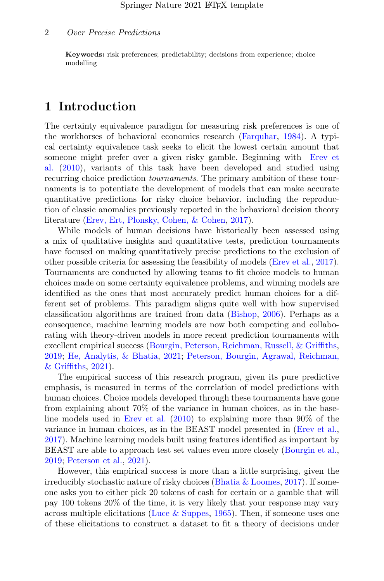Keywords: risk preferences; predictability; decisions from experience; choice modelling

## 1 Introduction

The certainty equivalence paradigm for measuring risk preferences is one of the workhorses of behavioral economics research [\(Farquhar,](#page-23-0) [1984\)](#page-23-0). A typical certainty equivalence task seeks to elicit the lowest certain amount that someone might prefer over a given risky gamble. Beginning with [Erev et](#page-23-1) [al.](#page-23-1) [\(2010\)](#page-23-1), variants of this task have been developed and studied using recurring choice prediction tournaments. The primary ambition of these tournaments is to potentiate the development of models that can make accurate quantitative predictions for risky choice behavior, including the reproduction of classic anomalies previously reported in the behavioral decision theory literature [\(Erev, Ert, Plonsky, Cohen, & Cohen,](#page-22-0) [2017\)](#page-22-0).

While models of human decisions have historically been assessed using a mix of qualitative insights and quantitative tests, prediction tournaments have focused on making quantitatively precise predictions to the exclusion of other possible criteria for assessing the feasibility of models [\(Erev et al.,](#page-22-0) [2017\)](#page-22-0). Tournaments are conducted by allowing teams to fit choice models to human choices made on some certainty equivalence problems, and winning models are identified as the ones that most accurately predict human choices for a different set of problems. This paradigm aligns quite well with how supervised classification algorithms are trained from data [\(Bishop,](#page-22-1) [2006\)](#page-22-1). Perhaps as a consequence, machine learning models are now both competing and collaborating with theory-driven models in more recent prediction tournaments with excellent empirical success [\(Bourgin, Peterson, Reichman, Russell, & Griffiths,](#page-22-2) [2019;](#page-22-2) [He, Analytis, & Bhatia,](#page-24-0) [2021;](#page-24-0) [Peterson, Bourgin, Agrawal, Reichman,](#page-25-0) [& Griffiths,](#page-25-0) [2021\)](#page-25-0).

The empirical success of this research program, given its pure predictive emphasis, is measured in terms of the correlation of model predictions with human choices. Choice models developed through these tournaments have gone from explaining about 70% of the variance in human choices, as in the baseline models used in [Erev et al.](#page-23-1) [\(2010\)](#page-23-1) to explaining more than 90% of the variance in human choices, as in the BEAST model presented in [\(Erev et al.,](#page-22-0) [2017\)](#page-22-0). Machine learning models built using features identified as important by BEAST are able to approach test set values even more closely [\(Bourgin et al.,](#page-22-2) [2019;](#page-22-2) [Peterson et al.,](#page-25-0) [2021\)](#page-25-0).

However, this empirical success is more than a little surprising, given the irreducibly stochastic nature of risky choices (Bhatia  $&$  Loomes, [2017\)](#page-22-3). If someone asks you to either pick 20 tokens of cash for certain or a gamble that will pay 100 tokens 20% of the time, it is very likely that your response may vary across multiple elicitations (Luce  $&$  Suppes, [1965\)](#page-24-1). Then, if someone uses one of these elicitations to construct a dataset to fit a theory of decisions under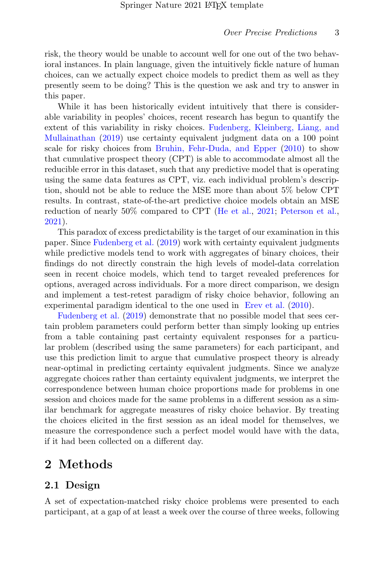risk, the theory would be unable to account well for one out of the two behavioral instances. In plain language, given the intuitively fickle nature of human choices, can we actually expect choice models to predict them as well as they presently seem to be doing? This is the question we ask and try to answer in this paper.

While it has been historically evident intuitively that there is considerable variability in peoples' choices, recent research has begun to quantify the extent of this variability in risky choices. [Fudenberg, Kleinberg, Liang, and](#page-23-2) [Mullainathan](#page-23-2) [\(2019\)](#page-23-2) use certainty equivalent judgment data on a 100 point scale for risky choices from [Bruhin, Fehr-Duda, and Epper](#page-22-4) [\(2010\)](#page-22-4) to show that cumulative prospect theory (CPT) is able to accommodate almost all the reducible error in this dataset, such that any predictive model that is operating using the same data features as CPT, viz. each individual problem's description, should not be able to reduce the MSE more than about 5% below CPT results. In contrast, state-of-the-art predictive choice models obtain an MSE reduction of nearly 50% compared to CPT [\(He et al.,](#page-24-0) [2021;](#page-24-0) [Peterson et al.,](#page-25-0) [2021\)](#page-25-0).

This paradox of excess predictability is the target of our examination in this paper. Since [Fudenberg et al.](#page-23-2) [\(2019\)](#page-23-2) work with certainty equivalent judgments while predictive models tend to work with aggregates of binary choices, their findings do not directly constrain the high levels of model-data correlation seen in recent choice models, which tend to target revealed preferences for options, averaged across individuals. For a more direct comparison, we design and implement a test-retest paradigm of risky choice behavior, following an experimental paradigm identical to the one used in [Erev et al.](#page-23-1) [\(2010\)](#page-23-1).

[Fudenberg et al.](#page-23-2) [\(2019\)](#page-23-2) demonstrate that no possible model that sees certain problem parameters could perform better than simply looking up entries from a table containing past certainty equivalent responses for a particular problem (described using the same parameters) for each participant, and use this prediction limit to argue that cumulative prospect theory is already near-optimal in predicting certainty equivalent judgments. Since we analyze aggregate choices rather than certainty equivalent judgments, we interpret the correspondence between human choice proportions made for problems in one session and choices made for the same problems in a different session as a similar benchmark for aggregate measures of risky choice behavior. By treating the choices elicited in the first session as an ideal model for themselves, we measure the correspondence such a perfect model would have with the data, if it had been collected on a different day.

## 2 Methods

## 2.1 Design

A set of expectation-matched risky choice problems were presented to each participant, at a gap of at least a week over the course of three weeks, following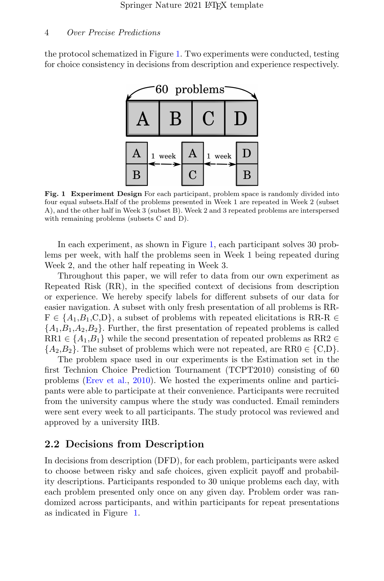the protocol schematized in Figure [1.](#page-3-0) Two experiments were conducted, testing for choice consistency in decisions from description and experience respectively.



<span id="page-3-0"></span>Fig. 1 Experiment Design For each participant, problem space is randomly divided into four equal subsets.Half of the problems presented in Week 1 are repeated in Week 2 (subset A), and the other half in Week 3 (subset B). Week 2 and 3 repeated problems are interspersed with remaining problems (subsets C and D).

In each experiment, as shown in Figure [1,](#page-3-0) each participant solves 30 problems per week, with half the problems seen in Week 1 being repeated during Week 2, and the other half repeating in Week 3.

Throughout this paper, we will refer to data from our own experiment as Repeated Risk (RR), in the specified context of decisions from description or experience. We hereby specify labels for different subsets of our data for easier navigation. A subset with only fresh presentation of all problems is RR- $F \in \{A_1, B_1, C, D\}$ , a subset of problems with repeated elicitations is RR-R  $\in$  ${A_1, B_1, A_2, B_2}$ . Further, the first presentation of repeated problems is called RR1  $\in \{A_1, B_1\}$  while the second presentation of repeated problems as RR2  $\in$  ${A_2, B_2}$ . The subset of problems which were not repeated, are RR0  $\in \{C, D\}$ .

The problem space used in our experiments is the Estimation set in the first Technion Choice Prediction Tournament (TCPT2010) consisting of 60 problems [\(Erev et al.,](#page-23-1) [2010\)](#page-23-1). We hosted the experiments online and participants were able to participate at their convenience. Participants were recruited from the university campus where the study was conducted. Email reminders were sent every week to all participants. The study protocol was reviewed and approved by a university IRB.

### 2.2 Decisions from Description

In decisions from description (DFD), for each problem, participants were asked to choose between risky and safe choices, given explicit payoff and probability descriptions. Participants responded to 30 unique problems each day, with each problem presented only once on any given day. Problem order was randomized across participants, and within participants for repeat presentations as indicated in Figure [1.](#page-3-0)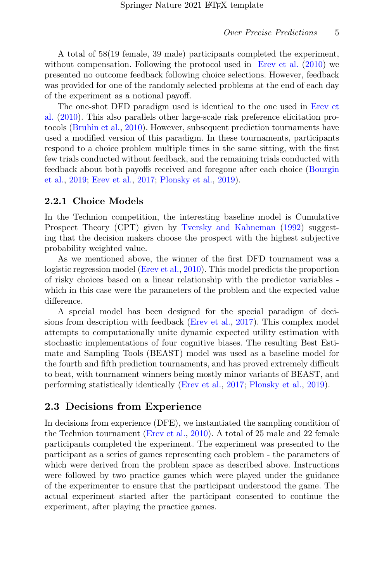A total of 58(19 female, 39 male) participants completed the experiment, without compensation. Following the protocol used in [Erev et al.](#page-23-1) [\(2010\)](#page-23-1) we presented no outcome feedback following choice selections. However, feedback was provided for one of the randomly selected problems at the end of each day of the experiment as a notional payoff.

The one-shot DFD paradigm used is identical to the one used in [Erev et](#page-23-1) [al.](#page-23-1) [\(2010\)](#page-23-1). This also parallels other large-scale risk preference elicitation protocols [\(Bruhin et al.,](#page-22-4) [2010\)](#page-22-4). However, subsequent prediction tournaments have used a modified version of this paradigm. In these tournaments, participants respond to a choice problem multiple times in the same sitting, with the first few trials conducted without feedback, and the remaining trials conducted with feedback about both payoffs received and foregone after each choice [\(Bourgin](#page-22-2) [et al.,](#page-22-2) [2019;](#page-22-2) [Erev et al.,](#page-22-0) [2017;](#page-22-0) [Plonsky et al.,](#page-25-1) [2019\)](#page-25-1).

### 2.2.1 Choice Models

In the Technion competition, the interesting baseline model is Cumulative Prospect Theory (CPT) given by [Tversky and Kahneman](#page-26-0) [\(1992\)](#page-26-0) suggesting that the decision makers choose the prospect with the highest subjective probability weighted value.

As we mentioned above, the winner of the first DFD tournament was a logistic regression model [\(Erev et al.,](#page-23-1) [2010\)](#page-23-1). This model predicts the proportion of risky choices based on a linear relationship with the predictor variables which in this case were the parameters of the problem and the expected value difference.

A special model has been designed for the special paradigm of decisions from description with feedback [\(Erev et al.,](#page-22-0) [2017\)](#page-22-0). This complex model attempts to computationally unite dynamic expected utility estimation with stochastic implementations of four cognitive biases. The resulting Best Estimate and Sampling Tools (BEAST) model was used as a baseline model for the fourth and fifth prediction tournaments, and has proved extremely difficult to beat, with tournament winners being mostly minor variants of BEAST, and performing statistically identically [\(Erev et al.,](#page-22-0) [2017;](#page-22-0) [Plonsky et al.,](#page-25-1) [2019\)](#page-25-1).

## 2.3 Decisions from Experience

In decisions from experience (DFE), we instantiated the sampling condition of the Technion tournament [\(Erev et al.,](#page-23-1) [2010\)](#page-23-1). A total of 25 male and 22 female participants completed the experiment. The experiment was presented to the participant as a series of games representing each problem - the parameters of which were derived from the problem space as described above. Instructions were followed by two practice games which were played under the guidance of the experimenter to ensure that the participant understood the game. The actual experiment started after the participant consented to continue the experiment, after playing the practice games.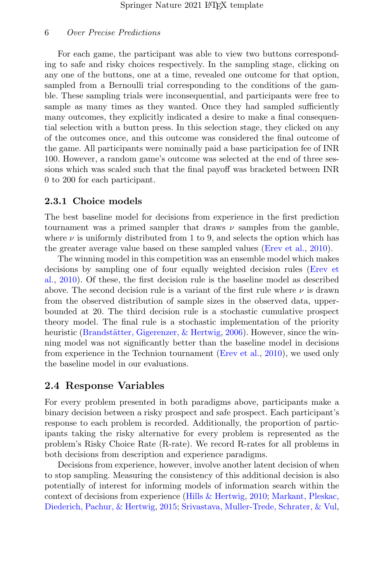For each game, the participant was able to view two buttons corresponding to safe and risky choices respectively. In the sampling stage, clicking on any one of the buttons, one at a time, revealed one outcome for that option, sampled from a Bernoulli trial corresponding to the conditions of the gamble. These sampling trials were inconsequential, and participants were free to sample as many times as they wanted. Once they had sampled sufficiently many outcomes, they explicitly indicated a desire to make a final consequential selection with a button press. In this selection stage, they clicked on any of the outcomes once, and this outcome was considered the final outcome of the game. All participants were nominally paid a base participation fee of INR 100. However, a random game's outcome was selected at the end of three sessions which was scaled such that the final payoff was bracketed between INR 0 to 200 for each participant.

#### 2.3.1 Choice models

The best baseline model for decisions from experience in the first prediction tournament was a primed sampler that draws  $\nu$  samples from the gamble, where  $\nu$  is uniformly distributed from 1 to 9, and selects the option which has the greater average value based on these sampled values [\(Erev et al.,](#page-23-1) [2010\)](#page-23-1).

The winning model in this competition was an ensemble model which makes decisions by sampling one of four equally weighted decision rules [\(Erev et](#page-23-1) [al.,](#page-23-1) [2010\)](#page-23-1). Of these, the first decision rule is the baseline model as described above. The second decision rule is a variant of the first rule where  $\nu$  is drawn from the observed distribution of sample sizes in the observed data, upperbounded at 20. The third decision rule is a stochastic cumulative prospect theory model. The final rule is a stochastic implementation of the priority heuristic (Brandstätter, Gigerenzer, & Hertwig, [2006\)](#page-22-5). However, since the winning model was not significantly better than the baseline model in decisions from experience in the Technion tournament [\(Erev et al.,](#page-23-1) [2010\)](#page-23-1), we used only the baseline model in our evaluations.

### 2.4 Response Variables

For every problem presented in both paradigms above, participants make a binary decision between a risky prospect and safe prospect. Each participant's response to each problem is recorded. Additionally, the proportion of participants taking the risky alternative for every problem is represented as the problem's Risky Choice Rate (R-rate). We record R-rates for all problems in both decisions from description and experience paradigms.

Decisions from experience, however, involve another latent decision of when to stop sampling. Measuring the consistency of this additional decision is also potentially of interest for informing models of information search within the context of decisions from experience [\(Hills & Hertwig,](#page-24-2) [2010;](#page-24-2) [Markant, Pleskac,](#page-24-3) [Diederich, Pachur, & Hertwig,](#page-24-3) [2015;](#page-24-3) [Srivastava, Muller-Trede, Schrater, & Vul,](#page-25-2)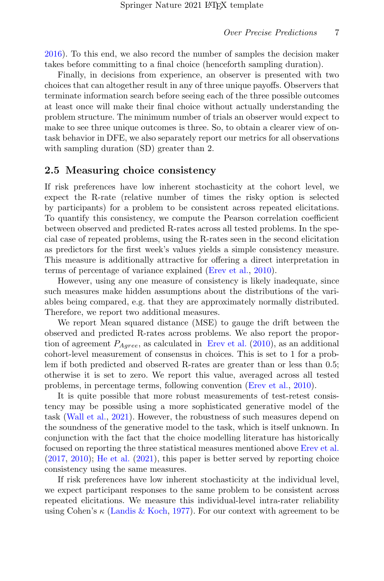[2016\)](#page-25-2). To this end, we also record the number of samples the decision maker takes before committing to a final choice (henceforth sampling duration).

Finally, in decisions from experience, an observer is presented with two choices that can altogether result in any of three unique payoffs. Observers that terminate information search before seeing each of the three possible outcomes at least once will make their final choice without actually understanding the problem structure. The minimum number of trials an observer would expect to make to see three unique outcomes is three. So, to obtain a clearer view of ontask behavior in DFE, we also separately report our metrics for all observations with sampling duration (SD) greater than 2.

#### 2.5 Measuring choice consistency

If risk preferences have low inherent stochasticity at the cohort level, we expect the R-rate (relative number of times the risky option is selected by participants) for a problem to be consistent across repeated elicitations. To quantify this consistency, we compute the Pearson correlation coefficient between observed and predicted R-rates across all tested problems. In the special case of repeated problems, using the R-rates seen in the second elicitation as predictors for the first week's values yields a simple consistency measure. This measure is additionally attractive for offering a direct interpretation in terms of percentage of variance explained [\(Erev et al.,](#page-23-1) [2010\)](#page-23-1).

However, using any one measure of consistency is likely inadequate, since such measures make hidden assumptions about the distributions of the variables being compared, e.g. that they are approximately normally distributed. Therefore, we report two additional measures.

We report Mean squared distance (MSE) to gauge the drift between the observed and predicted R-rates across problems. We also report the proportion of agreement  $P_{Agree}$ , as calculated in [Erev et al.](#page-23-1) [\(2010\)](#page-23-1), as an additional cohort-level measurement of consensus in choices. This is set to 1 for a problem if both predicted and observed R-rates are greater than or less than 0.5; otherwise it is set to zero. We report this value, averaged across all tested problems, in percentage terms, following convention [\(Erev et al.,](#page-23-1) [2010\)](#page-23-1).

It is quite possible that more robust measurements of test-retest consistency may be possible using a more sophisticated generative model of the task [\(Wall et al.,](#page-26-1) [2021\)](#page-26-1). However, the robustness of such measures depend on the soundness of the generative model to the task, which is itself unknown. In conjunction with the fact that the choice modelling literature has historically focused on reporting the three statistical measures mentioned above [Erev et al.](#page-22-0)  $(2017, 2010)$  $(2017, 2010)$  $(2017, 2010)$ ; [He et al.](#page-24-0)  $(2021)$ , this paper is better served by reporting choice consistency using the same measures.

If risk preferences have low inherent stochasticity at the individual level, we expect participant responses to the same problem to be consistent across repeated elicitations. We measure this individual-level intra-rater reliability using Cohen's  $\kappa$  [\(Landis & Koch,](#page-24-4) [1977\)](#page-24-4). For our context with agreement to be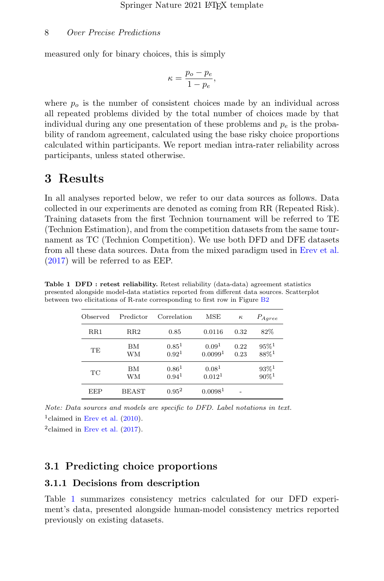measured only for binary choices, this is simply

$$
\kappa = \frac{p_o - p_e}{1 - p_e},
$$

where  $p<sub>o</sub>$  is the number of consistent choices made by an individual across all repeated problems divided by the total number of choices made by that individual during any one presentation of these problems and  $p_e$  is the probability of random agreement, calculated using the base risky choice proportions calculated within participants. We report median intra-rater reliability across participants, unless stated otherwise.

## 3 Results

In all analyses reported below, we refer to our data sources as follows. Data collected in our experiments are denoted as coming from RR (Repeated Risk). Training datasets from the first Technion tournament will be referred to TE (Technion Estimation), and from the competition datasets from the same tournament as TC (Technion Competition). We use both DFD and DFE datasets from all these data sources. Data from the mixed paradigm used in [Erev et al.](#page-22-0) [\(2017\)](#page-22-0) will be referred to as EEP.

<span id="page-7-0"></span>

| Observed     | Predictor    | Correlation                     | MSE                                     | $\kappa$     | $P_{Aqree}$                                |
|--------------|--------------|---------------------------------|-----------------------------------------|--------------|--------------------------------------------|
| $_{\rm RR1}$ | $_{\rm RR2}$ | 0.85                            | 0.0116                                  | 0.32         | 82%                                        |
| TЕ           | ВM<br>WМ     | $0.85^{1}$<br>0.92 <sup>1</sup> | 0.09 <sup>1</sup><br>0.00991            | 0.22<br>0.23 | $95\%$ <sup>1</sup><br>$88\%$ <sup>1</sup> |
| TC           | ВM<br>WМ     | $0.86^{1}$<br>0.94 <sup>1</sup> | 0.08 <sup>1</sup><br>0.012 <sup>1</sup> |              | $93\%$ <sup>1</sup><br>$90\%$ <sup>1</sup> |
| EEP          | <b>BEAST</b> | $0.95^2$                        | 0.0098 <sup>1</sup>                     |              |                                            |

Table 1 DFD : retest reliability. Retest reliability (data-data) agreement statistics presented alongside model-data statistics reported from different data sources. Scatterplot between two elicitations of R-rate corresponding to first row in Figure [B2](#page-13-0)

Note: Data sources and models are specific to DFD. Label notations in text. <sup>1</sup>claimed in [Erev et al.](#page-23-1)  $(2010)$ .

 $2$ claimed in [Erev et al.](#page-22-0)  $(2017)$ .

## 3.1 Predicting choice proportions

#### 3.1.1 Decisions from description

Table [1](#page-7-0) summarizes consistency metrics calculated for our DFD experiment's data, presented alongside human-model consistency metrics reported previously on existing datasets.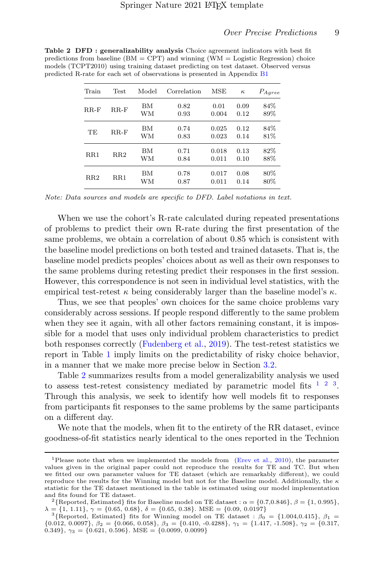<span id="page-8-0"></span>

| Train  | <b>Test</b> | Model    | Correlation  | MSE            | $\kappa$     | $P_{Agree}$ |
|--------|-------------|----------|--------------|----------------|--------------|-------------|
| $RR-F$ | $RR-F$      | ΒМ<br>WМ | 0.82<br>0.93 | 0.01<br>0.004  | 0.09<br>0.12 | 84%<br>89%  |
| TE     | $RR-F$      | BМ<br>WМ | 0.74<br>0.83 | 0.025<br>0.023 | 0.12<br>0.14 | 84%<br>81%  |
| RR1    | RR2         | BМ<br>WМ | 0.71<br>0.84 | 0.018<br>0.011 | 0.13<br>0.10 | 82%<br>88%  |
| RR2    | RR1         | BМ<br>WМ | 0.78<br>0.87 | 0.017<br>0.011 | 0.08<br>0.14 | 80%<br>80%  |

Table 2 DFD : generalizability analysis Choice agreement indicators with best fit predictions from baseline  $(BM = CPT)$  and winning  $(WM = Logistic Regression)$  choice models (TCPT2010) using training dataset predicting on test dataset. Observed versus predicted R-rate fo

Note: Data sources and models are specific to DFD. Label notations in text.

When we use the cohort's R-rate calculated during repeated presentations of problems to predict their own R-rate during the first presentation of the same problems, we obtain a correlation of about 0.85 which is consistent with the baseline model predictions on both tested and trained datasets. That is, the baseline model predicts peoples' choices about as well as their own responses to the same problems during retesting predict their responses in the first session. However, this correspondence is not seen in individual level statistics, with the empirical test-retest  $\kappa$  being considerably larger than the baseline model's  $\kappa$ .

Thus, we see that peoples' own choices for the same choice problems vary considerably across sessions. If people respond differently to the same problem when they see it again, with all other factors remaining constant, it is impossible for a model that uses only individual problem characteristics to predict both responses correctly [\(Fudenberg et al.,](#page-23-2) [2019\)](#page-23-2). The test-retest statistics we report in Table [1](#page-7-0) imply limits on the predictability of risky choice behavior, in a manner that we make more precise below in Section [3.2.](#page-11-0)

Table [2](#page-8-0) summarizes results from a model generalizability analysis we used to assess test-retest consistency mediated by parametric model fits  $1\ 2\ 3$  $1\ 2\ 3$  $1\ 2\ 3$  $1\ 2\ 3$  $1\ 2\ 3$ . Through this analysis, we seek to identify how well models fit to responses from participants fit responses to the same problems by the same participants on a different day.

We note that the models, when fit to the entirety of the RR dataset, evince goodness-of-fit statistics nearly identical to the ones reported in the Technion

<span id="page-8-1"></span><sup>&</sup>lt;sup>1</sup>Please note that when we implemented the models from [\(Erev et al.,](#page-23-1) [2010\)](#page-23-1), the parameter values given in the original paper could not reproduce the results for TE and TC. But when we fitted our own parameter values for TE dataset (which are remarkably different), we could reproduce the results for the Winning model but not for the Baseline model. Additionally, the  $κ$ statistic for the TE dataset mentioned in the table is estimated using our model implementation and fits found for TE dataset.

<span id="page-8-2"></span><sup>&</sup>lt;sup>2</sup>{Reported, Estimated} fits for Baseline model on TE dataset :  $\alpha = \{0.7, 0.846\}, \beta = \{1, 0.995\},\$  $\lambda = \{1, 1.11\}, \gamma = \{0.65, 0.68\}, \delta = \{0.65, 0.38\}. \text{ MSE} = \{0.09, 0.0197\}$ 

<span id="page-8-3"></span><sup>&</sup>lt;sup>3</sup>{Reported, Estimated} fits for Winning model on TE dataset :  $\beta_0 = \{1.004, 0.415\}, \beta_1 =$  ${0.012, 0.0097}, \beta_2 = {0.066, 0.058}, \beta_3 = {0.410, -0.4288}, \gamma_1 = {1.417, -1.508}, \gamma_2 = {0.317, 0.349}, \gamma_3 = {0.621, 0.596}.$  MSE =  ${0.0099, 0.0099}$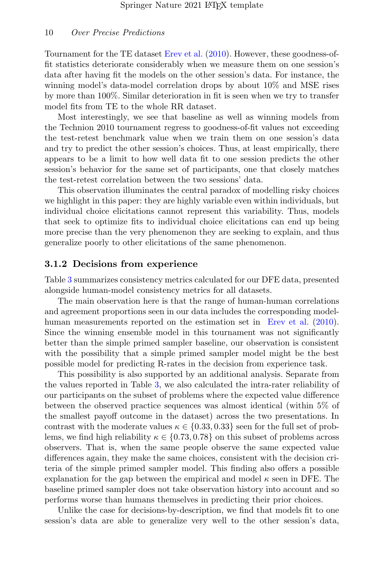Tournament for the TE dataset [Erev et al.](#page-23-1) [\(2010\)](#page-23-1). However, these goodness-offit statistics deteriorate considerably when we measure them on one session's data after having fit the models on the other session's data. For instance, the winning model's data-model correlation drops by about 10% and MSE rises by more than 100%. Similar deterioration in fit is seen when we try to transfer model fits from TE to the whole RR dataset.

Most interestingly, we see that baseline as well as winning models from the Technion 2010 tournament regress to goodness-of-fit values not exceeding the test-retest benchmark value when we train them on one session's data and try to predict the other session's choices. Thus, at least empirically, there appears to be a limit to how well data fit to one session predicts the other session's behavior for the same set of participants, one that closely matches the test-retest correlation between the two sessions' data.

This observation illuminates the central paradox of modelling risky choices we highlight in this paper: they are highly variable even within individuals, but individual choice elicitations cannot represent this variability. Thus, models that seek to optimize fits to individual choice elicitations can end up being more precise than the very phenomenon they are seeking to explain, and thus generalize poorly to other elicitations of the same phenomenon.

#### 3.1.2 Decisions from experience

Table [3](#page-10-0) summarizes consistency metrics calculated for our DFE data, presented alongside human-model consistency metrics for all datasets.

The main observation here is that the range of human-human correlations and agreement proportions seen in our data includes the corresponding modelhuman measurements reported on the estimation set in [Erev et al.](#page-23-1) [\(2010\)](#page-23-1). Since the winning ensemble model in this tournament was not significantly better than the simple primed sampler baseline, our observation is consistent with the possibility that a simple primed sampler model might be the best possible model for predicting R-rates in the decision from experience task.

This possibility is also supported by an additional analysis. Separate from the values reported in Table [3,](#page-10-0) we also calculated the intra-rater reliability of our participants on the subset of problems where the expected value difference between the observed practice sequences was almost identical (within 5% of the smallest payoff outcome in the dataset) across the two presentations. In contrast with the moderate values  $\kappa \in \{0.33, 0.33\}$  seen for the full set of problems, we find high reliability  $\kappa \in \{0.73, 0.78\}$  on this subset of problems across observers. That is, when the same people observe the same expected value differences again, they make the same choices, consistent with the decision criteria of the simple primed sampler model. This finding also offers a possible explanation for the gap between the empirical and model  $\kappa$  seen in DFE. The baseline primed sampler does not take observation history into account and so performs worse than humans themselves in predicting their prior choices.

Unlike the case for decisions-by-description, we find that models fit to one session's data are able to generalize very well to the other session's data,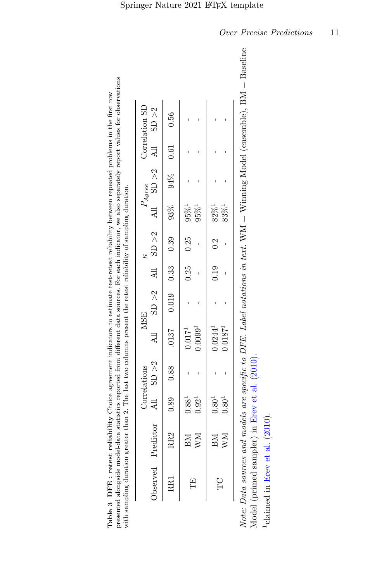|        |                        |            | Correlations | <b>MSE</b>                                                            |  |                                   |            | $P_{Agree}$ | Correlation SD |
|--------|------------------------|------------|--------------|-----------------------------------------------------------------------|--|-----------------------------------|------------|-------------|----------------|
|        | Observed Predictor     |            |              | All SD >2 All SD >2 All SD >2 All SD >2 All SD >2 All SD >2 All SD +2 |  |                                   |            |             |                |
| RR1    |                        |            |              |                                                                       |  |                                   |            |             |                |
| Ë      | BM 0.88 <sup>1</sup>   |            |              | $0.017^{1}$                                                           |  | $0.25$ $0.25$ $95\%$ <sup>1</sup> |            |             |                |
|        | $\mathbf{W}\mathbf{M}$ | $0.92^{1}$ |              | $0.0099^{1}$                                                          |  |                                   | $95\%^1$   |             |                |
| С<br>Н | $BM$ $0.801$           |            |              | $0.0244^{1}$                                                          |  | $0.19$ $0.2$ $82\%$ <sup>1</sup>  |            |             |                |
|        | WM                     | $0.80^1\,$ |              | $0.0187$ <sup>1</sup>                                                 |  |                                   | $83\%^{1}$ |             |                |

presented alongside model-data statistics reported from different data sources. For each indicator, we also separately report values for observations presented alongside model-data statistics reported from different data sources. For each indicator, we also separately report values for observations Table 3 DFE : retest reliability Choice agreement indicators to estimate test-retest reliability between repeated problems in the first row Table 3 DFE : retest reliability Choice agreement indicators to estimate test-retest reliability between repeated problems in the first row with sampling duration greater than 2. The last two columns present the retest reliability of sampling duration. with sa

<span id="page-10-0"></span>line Note: Data sources and models are specific to DFE. Label notations in text.  $WM = Win$ ining Model (ensemble),  $BM = Baseline$ Model (primed sampler) in Erev et al. (2010). Model (primed sampler) in [Erev](#page-23-1) et al. [\(2010\)](#page-23-1). Note:

 $<sup>1</sup>$ claimed in Erev et al. (2010).</sup> 1claimed in [Erev](#page-23-1) et al. [\(2010\)](#page-23-1).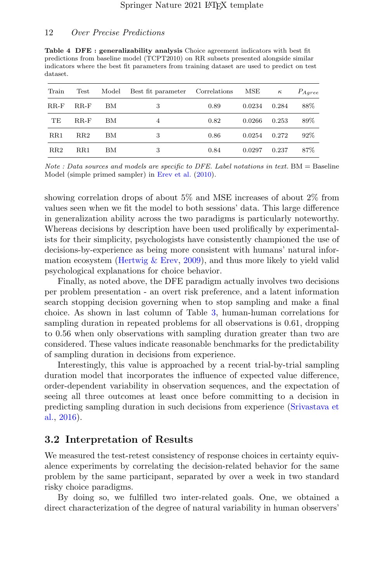Table 4 DFE : generalizability analysis Choice agreement indicators with best fit predictions from baseline model (TCPT2010) on RR subsets presented alongside similar indicators where the best fit parameters from training dataset are used to predict on test dataset.

| Train        | Test   | Model | Best fit parameter | Correlations | MSE    | $\kappa$ | $P_{Agree}$ |
|--------------|--------|-------|--------------------|--------------|--------|----------|-------------|
| $RR-F$       | $RR-F$ | ВM    | 3                  | 0.89         | 0.0234 | 0.284    | 88%         |
| TE           | $RR-F$ | ΒМ    | 4                  | 0.82         | 0.0266 | 0.253    | 89%         |
| $_{\rm RR1}$ | RR2    | ΒМ    | 3                  | 0.86         | 0.0254 | 0.272    | 92%         |
| RR2          | RR1    | ΒМ    | 3                  | 0.84         | 0.0297 | 0.237    | 87%         |

Note : Data sources and models are specific to DFE. Label notations in text.  $BM = Baseline$ Model (simple primed sampler) in [Erev et al.](#page-23-1) [\(2010\)](#page-23-1).

showing correlation drops of about 5% and MSE increases of about 2% from values seen when we fit the model to both sessions' data. This large difference in generalization ability across the two paradigms is particularly noteworthy. Whereas decisions by description have been used prolifically by experimentalists for their simplicity, psychologists have consistently championed the use of decisions-by-experience as being more consistent with humans' natural information ecosystem (Hertwig  $&$  Erev, [2009\)](#page-24-5), and thus more likely to yield valid psychological explanations for choice behavior.

Finally, as noted above, the DFE paradigm actually involves two decisions per problem presentation - an overt risk preference, and a latent information search stopping decision governing when to stop sampling and make a final choice. As shown in last column of Table [3,](#page-10-0) human-human correlations for sampling duration in repeated problems for all observations is 0.61, dropping to 0.56 when only observations with sampling duration greater than two are considered. These values indicate reasonable benchmarks for the predictability of sampling duration in decisions from experience.

Interestingly, this value is approached by a recent trial-by-trial sampling duration model that incorporates the influence of expected value difference, order-dependent variability in observation sequences, and the expectation of seeing all three outcomes at least once before committing to a decision in predicting sampling duration in such decisions from experience [\(Srivastava et](#page-25-2) [al.,](#page-25-2) [2016\)](#page-25-2).

### <span id="page-11-0"></span>3.2 Interpretation of Results

We measured the test-retest consistency of response choices in certainty equivalence experiments by correlating the decision-related behavior for the same problem by the same participant, separated by over a week in two standard risky choice paradigms.

By doing so, we fulfilled two inter-related goals. One, we obtained a direct characterization of the degree of natural variability in human observers'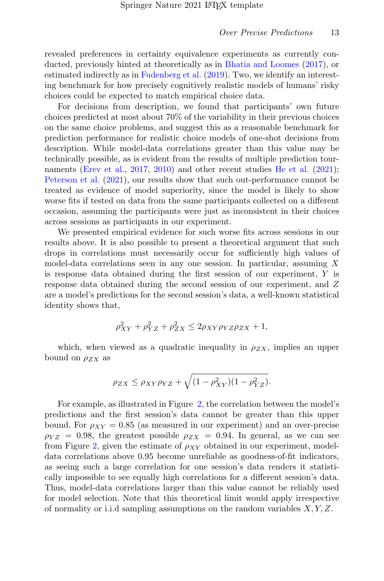revealed preferences in certainty equivalence experiments as currently conducted, previously hinted at theoretically as in [Bhatia and Loomes](#page-22-3) [\(2017\)](#page-22-3), or estimated indirectly as in [Fudenberg et al.](#page-23-2) [\(2019\)](#page-23-2). Two, we identify an interesting benchmark for how precisely cognitively realistic models of humans' risky choices could be expected to match empirical choice data.

For decisions from description, we found that participants' own future choices predicted at most about 70% of the variability in their previous choices on the same choice problems, and suggest this as a reasonable benchmark for prediction performance for realistic choice models of one-shot decisions from description. While model-data correlations greater than this value may be technically possible, as is evident from the results of multiple prediction tour-naments [\(Erev et al.,](#page-22-0) [2017,](#page-22-0) [2010\)](#page-23-1) and other recent studies [He et al.](#page-24-0) [\(2021\)](#page-24-0); [Peterson et al.](#page-25-0) [\(2021\)](#page-25-0), our results show that such out-performance cannot be treated as evidence of model superiority, since the model is likely to show worse fits if tested on data from the same participants collected on a different occasion, assuming the participants were just as inconsistent in their choices across sessions as participants in our experiment.

We presented empirical evidence for such worse fits across sessions in our results above. It is also possible to present a theoretical argument that such drops in correlations must necessarily occur for sufficiently high values of model-data correlations seen in any one session. In particular, assuming  $X$ is response data obtained during the first session of our experiment, Y is response data obtained during the second session of our experiment, and Z are a model's predictions for the second session's data, a well-known statistical identity shows that,

$$
\rho_{XY}^2 + \rho_{YZ}^2 + \rho_{ZX}^2 \le 2\rho_{XY}\rho_{YZ}\rho_{ZX} + 1,
$$

which, when viewed as a quadratic inequality in  $\rho_{ZX}$ , implies an upper bound on  $\rho_{ZX}$  as

$$
\rho_{ZX} \leq \rho_{XY}\rho_{YZ} + \sqrt{(1-\rho_{XY}^2)(1-\rho_{YZ}^2)}.
$$

For example, as illustrated in Figure [2,](#page-13-0) the correlation between the model's predictions and the first session's data cannot be greater than this upper bound. For  $\rho_{XY} = 0.85$  (as measured in our experiment) and an over-precise  $\rho_{YZ} = 0.98$ , the greatest possible  $\rho_{ZX} = 0.94$ . In general, as we can see from Figure [2,](#page-13-0) given the estimate of  $\rho_{XY}$  obtained in our experiment, modeldata correlations above 0.95 become unreliable as goodness-of-fit indicators, as seeing such a large correlation for one session's data renders it statistically impossible to see equally high correlations for a different session's data. Thus, model-data correlations larger than this value cannot be reliably used for model selection. Note that this theoretical limit would apply irrespective of normality or i.i.d sampling assumptions on the random variables  $X, Y, Z$ .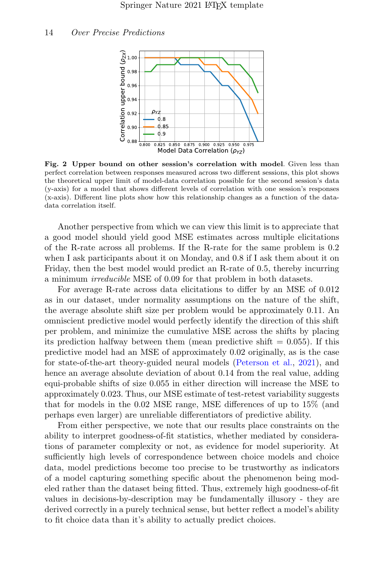

<span id="page-13-0"></span>Fig. 2 Upper bound on other session's correlation with model. Given less than perfect correlation between responses measured across two different sessions, this plot shows the theoretical upper limit of model-data correlation possible for the second session's data (y-axis) for a model that shows different levels of correlation with one session's responses (x-axis). Different line plots show how this relationship changes as a function of the datadata correlation itself.

Another perspective from which we can view this limit is to appreciate that a good model should yield good MSE estimates across multiple elicitations of the R-rate across all problems. If the R-rate for the same problem is 0.2 when I ask participants about it on Monday, and 0.8 if I ask them about it on Friday, then the best model would predict an R-rate of 0.5, thereby incurring a minimum irreducible MSE of 0.09 for that problem in both datasets.

For average R-rate across data elicitations to differ by an MSE of 0.012 as in our dataset, under normality assumptions on the nature of the shift, the average absolute shift size per problem would be approximately 0.11. An omniscient predictive model would perfectly identify the direction of this shift per problem, and minimize the cumulative MSE across the shifts by placing its prediction halfway between them (mean predictive shift  $= 0.055$ ). If this predictive model had an MSE of approximately 0.02 originally, as is the case for state-of-the-art theory-guided neural models [\(Peterson et al.,](#page-25-0) [2021\)](#page-25-0), and hence an average absolute deviation of about 0.14 from the real value, adding equi-probable shifts of size 0.055 in either direction will increase the MSE to approximately 0.023. Thus, our MSE estimate of test-retest variability suggests that for models in the 0.02 MSE range, MSE differences of up to 15% (and perhaps even larger) are unreliable differentiators of predictive ability.

From either perspective, we note that our results place constraints on the ability to interpret goodness-of-fit statistics, whether mediated by considerations of parameter complexity or not, as evidence for model superiority. At sufficiently high levels of correspondence between choice models and choice data, model predictions become too precise to be trustworthy as indicators of a model capturing something specific about the phenomenon being modeled rather than the dataset being fitted. Thus, extremely high goodness-of-fit values in decisions-by-description may be fundamentally illusory - they are derived correctly in a purely technical sense, but better reflect a model's ability to fit choice data than it's ability to actually predict choices.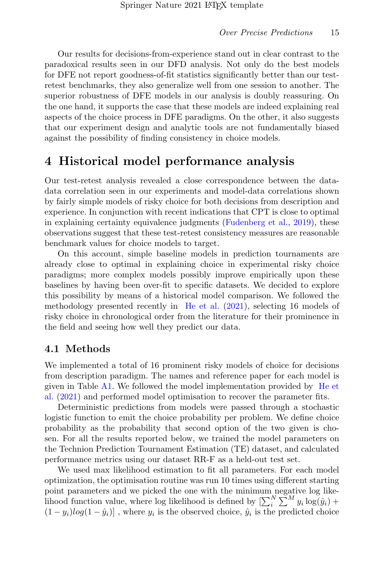Our results for decisions-from-experience stand out in clear contrast to the paradoxical results seen in our DFD analysis. Not only do the best models for DFE not report goodness-of-fit statistics significantly better than our testretest benchmarks, they also generalize well from one session to another. The superior robustness of DFE models in our analysis is doubly reassuring. On the one hand, it supports the case that these models are indeed explaining real aspects of the choice process in DFE paradigms. On the other, it also suggests that our experiment design and analytic tools are not fundamentally biased against the possibility of finding consistency in choice models.

## 4 Historical model performance analysis

Our test-retest analysis revealed a close correspondence between the datadata correlation seen in our experiments and model-data correlations shown by fairly simple models of risky choice for both decisions from description and experience. In conjunction with recent indications that CPT is close to optimal in explaining certainty equivalence judgments [\(Fudenberg et al.,](#page-23-2) [2019\)](#page-23-2), these observations suggest that these test-retest consistency measures are reasonable benchmark values for choice models to target.

On this account, simple baseline models in prediction tournaments are already close to optimal in explaining choice in experimental risky choice paradigms; more complex models possibly improve empirically upon these baselines by having been over-fit to specific datasets. We decided to explore this possibility by means of a historical model comparison. We followed the methodology presented recently in [He et al.](#page-24-0) [\(2021\)](#page-24-0), selecting 16 models of risky choice in chronological order from the literature for their prominence in the field and seeing how well they predict our data.

## 4.1 Methods

We implemented a total of 16 prominent risky models of choice for decisions from description paradigm. The names and reference paper for each model is given in Table  $A1$ . We followed the model implementation provided by [He et](#page-24-0) [al.](#page-24-0) [\(2021\)](#page-24-0) and performed model optimisation to recover the parameter fits.

Deterministic predictions from models were passed through a stochastic logistic function to emit the choice probability per problem. We define choice probability as the probability that second option of the two given is chosen. For all the results reported below, we trained the model parameters on the Technion Prediction Tournament Estimation (TE) dataset, and calculated performance metrics using our dataset RR-F as a held-out test set.

We used max likelihood estimation to fit all parameters. For each model optimization, the optimisation routine was run 10 times using different starting point parameters and we picked the one with the minimum negative log likelihood function value, where log likelihood is defined by  $\left[\sum_{i=1}^{N} \sum_{j=1}^{N} y_i \log(y_i) + \right]$  $(1 - y_i)log(1 - \hat{y}_i)$ , where  $y_i$  is the observed choice,  $\hat{y}_i$  is the predicted choice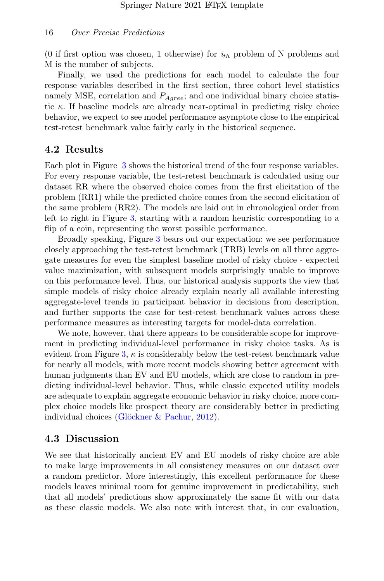(0 if first option was chosen, 1 otherwise) for  $i_{th}$  problem of N problems and M is the number of subjects.

Finally, we used the predictions for each model to calculate the four response variables described in the first section, three cohort level statistics namely MSE, correlation and  $P_{Aqree}$ ; and one individual binary choice statistic  $\kappa$ . If baseline models are already near-optimal in predicting risky choice behavior, we expect to see model performance asymptote close to the empirical test-retest benchmark value fairly early in the historical sequence.

### 4.2 Results

Each plot in Figure [3](#page-16-0) shows the historical trend of the four response variables. For every response variable, the test-retest benchmark is calculated using our dataset RR where the observed choice comes from the first elicitation of the problem (RR1) while the predicted choice comes from the second elicitation of the same problem (RR2). The models are laid out in chronological order from left to right in Figure [3,](#page-16-0) starting with a random heuristic corresponding to a flip of a coin, representing the worst possible performance.

Broadly speaking, Figure [3](#page-16-0) bears out our expectation: we see performance closely approaching the test-retest benchmark (TRB) levels on all three aggregate measures for even the simplest baseline model of risky choice - expected value maximization, with subsequent models surprisingly unable to improve on this performance level. Thus, our historical analysis supports the view that simple models of risky choice already explain nearly all available interesting aggregate-level trends in participant behavior in decisions from description, and further supports the case for test-retest benchmark values across these performance measures as interesting targets for model-data correlation.

We note, however, that there appears to be considerable scope for improvement in predicting individual-level performance in risky choice tasks. As is evident from Figure [3,](#page-16-0)  $\kappa$  is considerably below the test-retest benchmark value for nearly all models, with more recent models showing better agreement with human judgments than EV and EU models, which are close to random in predicting individual-level behavior. Thus, while classic expected utility models are adequate to explain aggregate economic behavior in risky choice, more complex choice models like prospect theory are considerably better in predicting individual choices (Glöckner & Pachur, [2012\)](#page-23-3).

### 4.3 Discussion

We see that historically ancient EV and EU models of risky choice are able to make large improvements in all consistency measures on our dataset over a random predictor. More interestingly, this excellent performance for these models leaves minimal room for genuine improvement in predictability, such that all models' predictions show approximately the same fit with our data as these classic models. We also note with interest that, in our evaluation,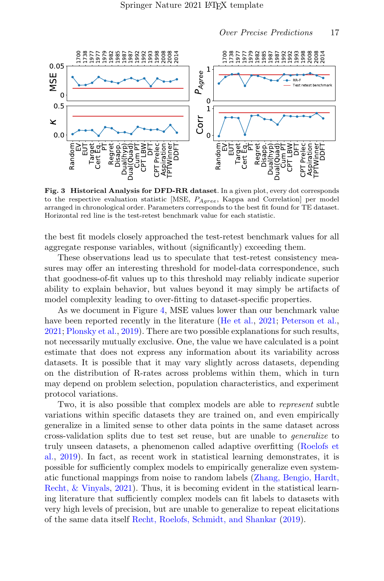

<span id="page-16-0"></span>Fig. 3 Historical Analysis for DFD-RR dataset. In a given plot, every dot corresponds to the respective evaluation statistic [MSE,  $P_{Aqree}$ , Kappa and Correlation] per model arranged in chronological order. Parameters corresponds to the best fit found for TE dataset. Horizontal red line is the test-retest benchmark value for each statistic.

the best fit models closely approached the test-retest benchmark values for all aggregate response variables, without (significantly) exceeding them.

These observations lead us to speculate that test-retest consistency measures may offer an interesting threshold for model-data correspondence, such that goodness-of-fit values up to this threshold may reliably indicate superior ability to explain behavior, but values beyond it may simply be artifacts of model complexity leading to over-fitting to dataset-specific properties.

As we document in Figure [4,](#page-17-0) MSE values lower than our benchmark value have been reported recently in the literature [\(He et al.,](#page-24-0) [2021;](#page-24-0) [Peterson et al.,](#page-25-0) [2021;](#page-25-0) [Plonsky et al.,](#page-25-1) [2019\)](#page-25-1). There are two possible explanations for such results, not necessarily mutually exclusive. One, the value we have calculated is a point estimate that does not express any information about its variability across datasets. It is possible that it may vary slightly across datasets, depending on the distribution of R-rates across problems within them, which in turn may depend on problem selection, population characteristics, and experiment protocol variations.

Two, it is also possible that complex models are able to *represent* subtle variations within specific datasets they are trained on, and even empirically generalize in a limited sense to other data points in the same dataset across cross-validation splits due to test set reuse, but are unable to generalize to truly unseen datasets, a phenomenon called adaptive overfitting [\(Roelofs et](#page-25-3) [al.,](#page-25-3) [2019\)](#page-25-3). In fact, as recent work in statistical learning demonstrates, it is possible for sufficiently complex models to empirically generalize even systematic functional mappings from noise to random labels [\(Zhang, Bengio, Hardt,](#page-26-2) [Recht, & Vinyals,](#page-26-2) [2021\)](#page-26-2). Thus, it is becoming evident in the statistical learning literature that sufficiently complex models can fit labels to datasets with very high levels of precision, but are unable to generalize to repeat elicitations of the same data itself [Recht, Roelofs, Schmidt, and Shankar](#page-25-4) [\(2019\)](#page-25-4).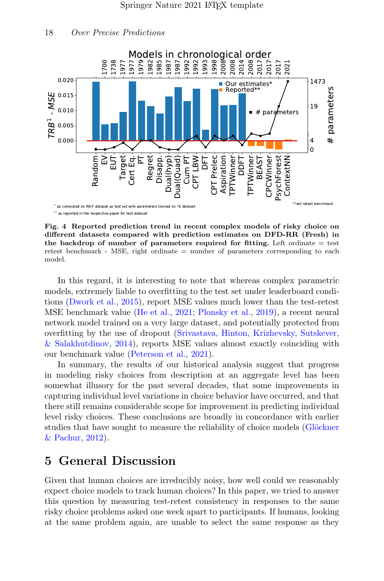



<span id="page-17-0"></span>Fig. 4 Reported prediction trend in recent complex models of risky choice on different datasets compared with prediction estimates on DFD-RR (Fresh) in the backdrop of number of parameters required for fitting. Left ordinate  $=$  test retest benchmark - MSE, right ordinate = number of parameters corresponding to each model.

In this regard, it is interesting to note that whereas complex parametric models, extremely liable to overfitting to the test set under leaderboard conditions [\(Dwork et al.,](#page-22-6) [2015\)](#page-22-6), report MSE values much lower than the test-retest MSE benchmark value [\(He et al.,](#page-24-0) [2021;](#page-24-0) [Plonsky et al.,](#page-25-1) [2019\)](#page-25-1), a recent neural network model trained on a very large dataset, and potentially protected from overfitting by the use of dropout [\(Srivastava, Hinton, Krizhevsky, Sutskever,](#page-25-5) [& Salakhutdinov,](#page-25-5) [2014\)](#page-25-5), reports MSE values almost exactly coinciding with our benchmark value [\(Peterson et al.,](#page-25-0) [2021\)](#page-25-0).

In summary, the results of our historical analysis suggest that progress in modeling risky choices from description at an aggregate level has been somewhat illusory for the past several decades, that some improvements in capturing individual level variations in choice behavior have occurred, and that there still remains considerable scope for improvement in predicting individual level risky choices. These conclusions are broadly in concordance with earlier studies that have sought to measure the reliability of choice models (Glöckner [& Pachur,](#page-23-3) [2012\)](#page-23-3).

## 5 General Discussion

Given that human choices are irreducibly noisy, how well could we reasonably expect choice models to track human choices? In this paper, we tried to answer this question by measuring test-retest consistency in responses to the same risky choice problems asked one week apart to participants. If humans, looking at the same problem again, are unable to select the same response as they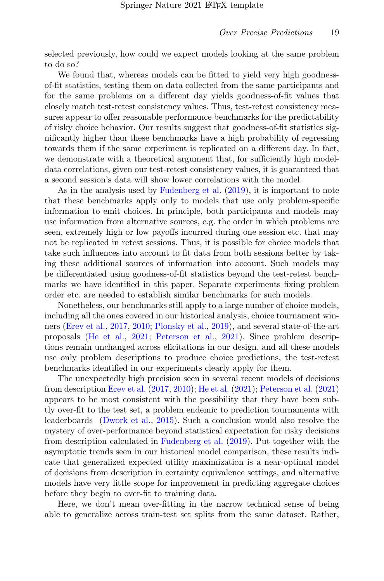selected previously, how could we expect models looking at the same problem to do so?

We found that, whereas models can be fitted to yield very high goodnessof-fit statistics, testing them on data collected from the same participants and for the same problems on a different day yields goodness-of-fit values that closely match test-retest consistency values. Thus, test-retest consistency measures appear to offer reasonable performance benchmarks for the predictability of risky choice behavior. Our results suggest that goodness-of-fit statistics significantly higher than these benchmarks have a high probability of regressing towards them if the same experiment is replicated on a different day. In fact, we demonstrate with a theoretical argument that, for sufficiently high modeldata correlations, given our test-retest consistency values, it is guaranteed that a second session's data will show lower correlations with the model.

As in the analysis used by [Fudenberg et al.](#page-23-2) [\(2019\)](#page-23-2), it is important to note that these benchmarks apply only to models that use only problem-specific information to emit choices. In principle, both participants and models may use information from alternative sources, e.g. the order in which problems are seen, extremely high or low payoffs incurred during one session etc. that may not be replicated in retest sessions. Thus, it is possible for choice models that take such influences into account to fit data from both sessions better by taking these additional sources of information into account. Such models may be differentiated using goodness-of-fit statistics beyond the test-retest benchmarks we have identified in this paper. Separate experiments fixing problem order etc. are needed to establish similar benchmarks for such models.

Nonetheless, our benchmarks still apply to a large number of choice models, including all the ones covered in our historical analysis, choice tournament winners [\(Erev et al.,](#page-22-0) [2017,](#page-22-0) [2010;](#page-23-1) [Plonsky et al.,](#page-25-1) [2019\)](#page-25-1), and several state-of-the-art proposals [\(He et al.,](#page-24-0) [2021;](#page-24-0) [Peterson et al.,](#page-25-0) [2021\)](#page-25-0). Since problem descriptions remain unchanged across elicitations in our design, and all these models use only problem descriptions to produce choice predictions, the test-retest benchmarks identified in our experiments clearly apply for them.

The unexpectedly high precision seen in several recent models of decisions from description [Erev et al.](#page-22-0) [\(2017,](#page-22-0) [2010\)](#page-23-1); [He et al.](#page-24-0) [\(2021\)](#page-24-0); [Peterson et al.](#page-25-0) [\(2021\)](#page-25-0) appears to be most consistent with the possibility that they have been subtly over-fit to the test set, a problem endemic to prediction tournaments with leaderboards [\(Dwork et al.,](#page-22-6) [2015\)](#page-22-6). Such a conclusion would also resolve the mystery of over-performance beyond statistical expectation for risky decisions from description calculated in [Fudenberg et al.](#page-23-2) [\(2019\)](#page-23-2). Put together with the asymptotic trends seen in our historical model comparison, these results indicate that generalized expected utility maximization is a near-optimal model of decisions from description in certainty equivalence settings, and alternative models have very little scope for improvement in predicting aggregate choices before they begin to over-fit to training data.

Here, we don't mean over-fitting in the narrow technical sense of being able to generalize across train-test set splits from the same dataset. Rather,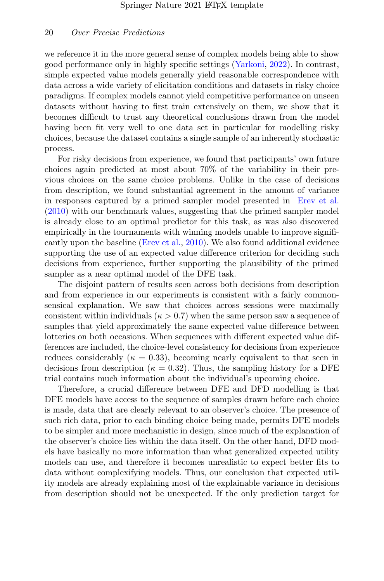we reference it in the more general sense of complex models being able to show good performance only in highly specific settings [\(Yarkoni,](#page-26-3) [2022\)](#page-26-3). In contrast, simple expected value models generally yield reasonable correspondence with data across a wide variety of elicitation conditions and datasets in risky choice paradigms. If complex models cannot yield competitive performance on unseen datasets without having to first train extensively on them, we show that it becomes difficult to trust any theoretical conclusions drawn from the model having been fit very well to one data set in particular for modelling risky choices, because the dataset contains a single sample of an inherently stochastic process.

For risky decisions from experience, we found that participants' own future choices again predicted at most about 70% of the variability in their previous choices on the same choice problems. Unlike in the case of decisions from description, we found substantial agreement in the amount of variance in responses captured by a primed sampler model presented in [Erev et al.](#page-23-1) [\(2010\)](#page-23-1) with our benchmark values, suggesting that the primed sampler model is already close to an optimal predictor for this task, as was also discovered empirically in the tournaments with winning models unable to improve significantly upon the baseline [\(Erev et al.,](#page-23-1) [2010\)](#page-23-1). We also found additional evidence supporting the use of an expected value difference criterion for deciding such decisions from experience, further supporting the plausibility of the primed sampler as a near optimal model of the DFE task.

The disjoint pattern of results seen across both decisions from description and from experience in our experiments is consistent with a fairly commonsensical explanation. We saw that choices across sessions were maximally consistent within individuals ( $\kappa > 0.7$ ) when the same person saw a sequence of samples that yield approximately the same expected value difference between lotteries on both occasions. When sequences with different expected value differences are included, the choice-level consistency for decisions from experience reduces considerably ( $\kappa = 0.33$ ), becoming nearly equivalent to that seen in decisions from description ( $\kappa = 0.32$ ). Thus, the sampling history for a DFE trial contains much information about the individual's upcoming choice.

Therefore, a crucial difference between DFE and DFD modelling is that DFE models have access to the sequence of samples drawn before each choice is made, data that are clearly relevant to an observer's choice. The presence of such rich data, prior to each binding choice being made, permits DFE models to be simpler and more mechanistic in design, since much of the explanation of the observer's choice lies within the data itself. On the other hand, DFD models have basically no more information than what generalized expected utility models can use, and therefore it becomes unrealistic to expect better fits to data without complexifying models. Thus, our conclusion that expected utility models are already explaining most of the explainable variance in decisions from description should not be unexpected. If the only prediction target for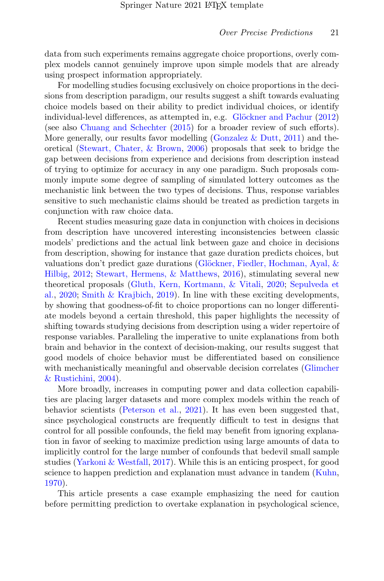data from such experiments remains aggregate choice proportions, overly complex models cannot genuinely improve upon simple models that are already using prospect information appropriately.

For modelling studies focusing exclusively on choice proportions in the decisions from description paradigm, our results suggest a shift towards evaluating choice models based on their ability to predict individual choices, or identify individual-level differences, as attempted in, e.g. Glöckner and Pachur [\(2012\)](#page-23-3) (see also [Chuang and Schechter](#page-22-7) [\(2015\)](#page-22-7) for a broader review of such efforts). More generally, our results favor modelling (Gonzalez  $\&$  Dutt, [2011\)](#page-23-4) and theoretical [\(Stewart, Chater, & Brown,](#page-26-4) [2006\)](#page-26-4) proposals that seek to bridge the gap between decisions from experience and decisions from description instead of trying to optimize for accuracy in any one paradigm. Such proposals commonly impute some degree of sampling of simulated lottery outcomes as the mechanistic link between the two types of decisions. Thus, response variables sensitive to such mechanistic claims should be treated as prediction targets in conjunction with raw choice data.

Recent studies measuring gaze data in conjunction with choices in decisions from description have uncovered interesting inconsistencies between classic models' predictions and the actual link between gaze and choice in decisions from description, showing for instance that gaze duration predicts choices, but valuations don't predict gaze durations (Glöckner, Fiedler, Hochman, Ayal,  $\&$ [Hilbig,](#page-23-5) [2012;](#page-23-5) [Stewart, Hermens, & Matthews,](#page-26-5) [2016\)](#page-26-5), stimulating several new theoretical proposals [\(Gluth, Kern, Kortmann, & Vitali,](#page-23-6) [2020;](#page-23-6) [Sepulveda et](#page-25-6) [al.,](#page-25-6) [2020;](#page-25-6) [Smith & Krajbich,](#page-25-7) [2019\)](#page-25-7). In line with these exciting developments, by showing that goodness-of-fit to choice proportions can no longer differentiate models beyond a certain threshold, this paper highlights the necessity of shifting towards studying decisions from description using a wider repertoire of response variables. Paralleling the imperative to unite explanations from both brain and behavior in the context of decision-making, our results suggest that good models of choice behavior must be differentiated based on consilience with mechanistically meaningful and observable decision correlates [\(Glimcher](#page-23-7) [& Rustichini,](#page-23-7) [2004\)](#page-23-7).

More broadly, increases in computing power and data collection capabilities are placing larger datasets and more complex models within the reach of behavior scientists [\(Peterson et al.,](#page-25-0) [2021\)](#page-25-0). It has even been suggested that, since psychological constructs are frequently difficult to test in designs that control for all possible confounds, the field may benefit from ignoring explanation in favor of seeking to maximize prediction using large amounts of data to implicitly control for the large number of confounds that bedevil small sample studies [\(Yarkoni & Westfall,](#page-26-6) [2017\)](#page-26-6). While this is an enticing prospect, for good science to happen prediction and explanation must advance in tandem [\(Kuhn,](#page-24-6) [1970\)](#page-24-6).

This article presents a case example emphasizing the need for caution before permitting prediction to overtake explanation in psychological science,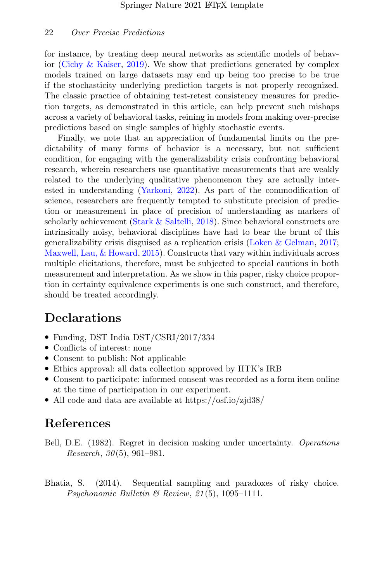for instance, by treating deep neural networks as scientific models of behavior [\(Cichy & Kaiser,](#page-22-8) [2019\)](#page-22-8). We show that predictions generated by complex models trained on large datasets may end up being too precise to be true if the stochasticity underlying prediction targets is not properly recognized. The classic practice of obtaining test-retest consistency measures for prediction targets, as demonstrated in this article, can help prevent such mishaps across a variety of behavioral tasks, reining in models from making over-precise predictions based on single samples of highly stochastic events.

Finally, we note that an appreciation of fundamental limits on the predictability of many forms of behavior is a necessary, but not sufficient condition, for engaging with the generalizability crisis confronting behavioral research, wherein researchers use quantitative measurements that are weakly related to the underlying qualitative phenomenon they are actually interested in understanding [\(Yarkoni,](#page-26-3) [2022\)](#page-26-3). As part of the commodification of science, researchers are frequently tempted to substitute precision of prediction or measurement in place of precision of understanding as markers of scholarly achievement [\(Stark & Saltelli,](#page-26-7) [2018\)](#page-26-7). Since behavioral constructs are intrinsically noisy, behavioral disciplines have had to bear the brunt of this generalizability crisis disguised as a replication crisis [\(Loken & Gelman,](#page-24-7) [2017;](#page-24-7) [Maxwell, Lau, & Howard,](#page-25-8) [2015\)](#page-25-8). Constructs that vary within individuals across multiple elicitations, therefore, must be subjected to special cautions in both measurement and interpretation. As we show in this paper, risky choice proportion in certainty equivalence experiments is one such construct, and therefore, should be treated accordingly.

## Declarations

- Funding, DST India DST/CSRI/2017/334
- Conflicts of interest: none
- Consent to publish: Not applicable
- Ethics approval: all data collection approved by IITK's IRB
- Consent to participate: informed consent was recorded as a form item online at the time of participation in our experiment.
- All code and data are available at https://osf.io/zjd38/

## References

<span id="page-21-0"></span>Bell, D.E. (1982). Regret in decision making under uncertainty. *Operations* Research,  $30(5)$ , 961-981.

<span id="page-21-1"></span>Bhatia, S. (2014). Sequential sampling and paradoxes of risky choice. Psychonomic Bulletin  $\mathcal B$  Review, 21(5), 1095-1111.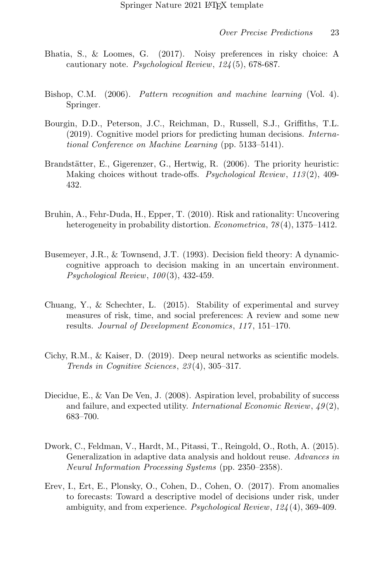- <span id="page-22-3"></span>Bhatia, S., & Loomes, G. (2017). Noisy preferences in risky choice: A cautionary note. Psychological Review, 124 (5), 678-687.
- <span id="page-22-1"></span>Bishop, C.M. (2006). *Pattern recognition and machine learning* (Vol. 4). Springer.
- <span id="page-22-2"></span>Bourgin, D.D., Peterson, J.C., Reichman, D., Russell, S.J., Griffiths, T.L. (2019). Cognitive model priors for predicting human decisions. International Conference on Machine Learning (pp. 5133–5141).
- <span id="page-22-5"></span>Brandstätter, E., Gigerenzer, G., Hertwig, R. (2006). The priority heuristic: Making choices without trade-offs. Psychological Review, 113(2), 409-432.
- <span id="page-22-4"></span>Bruhin, A., Fehr-Duda, H., Epper, T. (2010). Risk and rationality: Uncovering heterogeneity in probability distortion. *Econometrica*,  $78(4)$ , 1375–1412.
- <span id="page-22-9"></span>Busemeyer, J.R., & Townsend, J.T. (1993). Decision field theory: A dynamiccognitive approach to decision making in an uncertain environment. Psychological Review,  $100(3)$ , 432-459.
- <span id="page-22-7"></span>Chuang, Y., & Schechter, L. (2015). Stability of experimental and survey measures of risk, time, and social preferences: A review and some new results. Journal of Development Economics, 117 , 151–170.
- <span id="page-22-8"></span>Cichy, R.M., & Kaiser, D. (2019). Deep neural networks as scientific models. Trends in Cognitive Sciences, 23 (4), 305–317.
- <span id="page-22-10"></span>Diecidue, E., & Van De Ven, J. (2008). Aspiration level, probability of success and failure, and expected utility. International Economic Review,  $49(2)$ , 683–700.
- <span id="page-22-6"></span>Dwork, C., Feldman, V., Hardt, M., Pitassi, T., Reingold, O., Roth, A. (2015). Generalization in adaptive data analysis and holdout reuse. Advances in Neural Information Processing Systems (pp. 2350–2358).
- <span id="page-22-0"></span>Erev, I., Ert, E., Plonsky, O., Cohen, D., Cohen, O. (2017). From anomalies to forecasts: Toward a descriptive model of decisions under risk, under ambiguity, and from experience. Psychological Review, 124 (4), 369-409.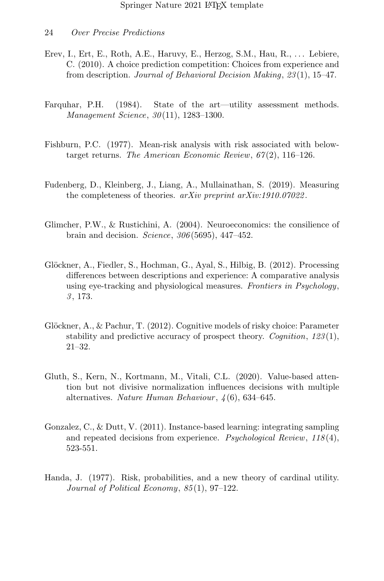- <span id="page-23-1"></span>Erev, I., Ert, E., Roth, A.E., Haruvy, E., Herzog, S.M., Hau, R., . . . Lebiere, C. (2010). A choice prediction competition: Choices from experience and from description. Journal of Behavioral Decision Making, 23(1), 15-47.
- <span id="page-23-0"></span>Farquhar, P.H. (1984). State of the art—utility assessment methods. Management Science, 30 (11), 1283–1300.
- <span id="page-23-8"></span>Fishburn, P.C. (1977). Mean-risk analysis with risk associated with belowtarget returns. The American Economic Review,  $67(2)$ , 116–126.
- <span id="page-23-2"></span>Fudenberg, D., Kleinberg, J., Liang, A., Mullainathan, S. (2019). Measuring the completeness of theories. arXiv preprint arXiv:1910.07022.
- <span id="page-23-7"></span>Glimcher, P.W., & Rustichini, A. (2004). Neuroeconomics: the consilience of brain and decision. Science,  $306(5695)$ ,  $447-452$ .
- <span id="page-23-5"></span>Glöckner, A., Fiedler, S., Hochman, G., Ayal, S., Hilbig, B. (2012). Processing differences between descriptions and experience: A comparative analysis using eye-tracking and physiological measures. Frontiers in Psychology, 3 , 173.
- <span id="page-23-3"></span>Glöckner, A.,  $\&$  Pachur, T. (2012). Cognitive models of risky choice: Parameter stability and predictive accuracy of prospect theory. *Cognition*,  $123(1)$ , 21–32.
- <span id="page-23-6"></span>Gluth, S., Kern, N., Kortmann, M., Vitali, C.L. (2020). Value-based attention but not divisive normalization influences decisions with multiple alternatives. Nature Human Behaviour,  $\lambda(6)$ , 634–645.
- <span id="page-23-4"></span>Gonzalez, C., & Dutt, V. (2011). Instance-based learning: integrating sampling and repeated decisions from experience. Psychological Review,  $118(4)$ , 523-551.
- <span id="page-23-9"></span>Handa, J. (1977). Risk, probabilities, and a new theory of cardinal utility. Journal of Political Economy, 85(1), 97-122.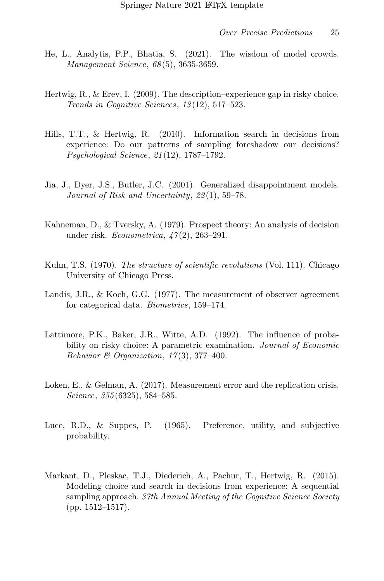- <span id="page-24-0"></span>He, L., Analytis, P.P., Bhatia, S. (2021). The wisdom of model crowds. Management Science, 68 (5), 3635-3659.
- <span id="page-24-5"></span>Hertwig, R., & Erev, I. (2009). The description–experience gap in risky choice. Trends in Cognitive Sciences, 13(12), 517–523.
- <span id="page-24-2"></span>Hills, T.T., & Hertwig, R. (2010). Information search in decisions from experience: Do our patterns of sampling foreshadow our decisions? Psychological Science, 21 (12), 1787–1792.
- <span id="page-24-9"></span>Jia, J., Dyer, J.S., Butler, J.C. (2001). Generalized disappointment models. Journal of Risk and Uncertainty, 22 (1), 59–78.
- <span id="page-24-8"></span>Kahneman, D., & Tversky, A. (1979). Prospect theory: An analysis of decision under risk. *Econometrica*, 47(2), 263-291.
- <span id="page-24-6"></span>Kuhn, T.S. (1970). The structure of scientific revolutions (Vol. 111). Chicago University of Chicago Press.
- <span id="page-24-4"></span>Landis, J.R., & Koch, G.G. (1977). The measurement of observer agreement for categorical data. *Biometrics*, 159–174.
- <span id="page-24-10"></span>Lattimore, P.K., Baker, J.R., Witte, A.D. (1992). The influence of probability on risky choice: A parametric examination. *Journal of Economic* Behavior & Organization,  $17(3)$ ,  $377-400$ .
- <span id="page-24-7"></span>Loken, E., & Gelman, A. (2017). Measurement error and the replication crisis. Science, 355 (6325), 584–585.
- <span id="page-24-1"></span>Luce, R.D., & Suppes, P. (1965). Preference, utility, and subjective probability.
- <span id="page-24-3"></span>Markant, D., Pleskac, T.J., Diederich, A., Pachur, T., Hertwig, R. (2015). Modeling choice and search in decisions from experience: A sequential sampling approach. 37th Annual Meeting of the Cognitive Science Society (pp. 1512–1517).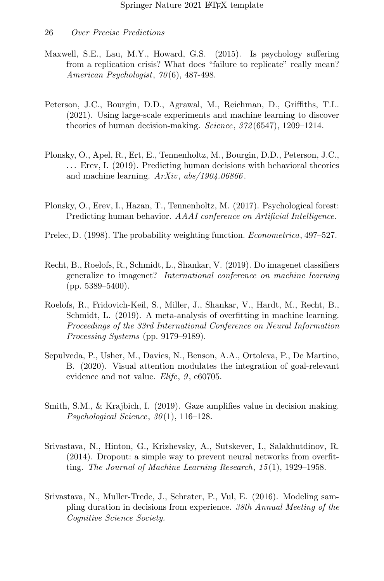- <span id="page-25-8"></span>Maxwell, S.E., Lau, M.Y., Howard, G.S. (2015). Is psychology suffering from a replication crisis? What does "failure to replicate" really mean? American Psychologist, 70 (6), 487-498.
- <span id="page-25-0"></span>Peterson, J.C., Bourgin, D.D., Agrawal, M., Reichman, D., Griffiths, T.L. (2021). Using large-scale experiments and machine learning to discover theories of human decision-making. Science, 372 (6547), 1209–1214.
- <span id="page-25-1"></span>Plonsky, O., Apel, R., Ert, E., Tennenholtz, M., Bourgin, D.D., Peterson, J.C., ... Erev, I. (2019). Predicting human decisions with behavioral theories and machine learning.  $ArXiv$ ,  $abs/1904.06866$ .
- <span id="page-25-10"></span>Plonsky, O., Erev, I., Hazan, T., Tennenholtz, M. (2017). Psychological forest: Predicting human behavior. AAAI conference on Artificial Intelligence.
- <span id="page-25-9"></span>Prelec, D. (1998). The probability weighting function. *Econometrica*, 497–527.
- <span id="page-25-4"></span>Recht, B., Roelofs, R., Schmidt, L., Shankar, V. (2019). Do imagenet classifiers generalize to imagenet? International conference on machine learning (pp. 5389–5400).
- <span id="page-25-3"></span>Roelofs, R., Fridovich-Keil, S., Miller, J., Shankar, V., Hardt, M., Recht, B., Schmidt, L. (2019). A meta-analysis of overfitting in machine learning. Proceedings of the 33rd International Conference on Neural Information Processing Systems (pp. 9179–9189).
- <span id="page-25-6"></span>Sepulveda, P., Usher, M., Davies, N., Benson, A.A., Ortoleva, P., De Martino, B. (2020). Visual attention modulates the integration of goal-relevant evidence and not value. Elife, 9, e60705.
- <span id="page-25-7"></span>Smith, S.M., & Krajbich, I. (2019). Gaze amplifies value in decision making. Psychological Science,  $30(1)$ , 116-128.
- <span id="page-25-5"></span>Srivastava, N., Hinton, G., Krizhevsky, A., Sutskever, I., Salakhutdinov, R. (2014). Dropout: a simple way to prevent neural networks from overfitting. The Journal of Machine Learning Research, 15 (1), 1929–1958.
- <span id="page-25-2"></span>Srivastava, N., Muller-Trede, J., Schrater, P., Vul, E. (2016). Modeling sampling duration in decisions from experience. 38th Annual Meeting of the Cognitive Science Society.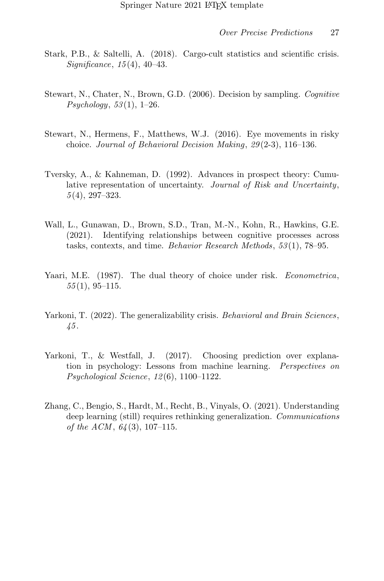- <span id="page-26-7"></span>Stark, P.B., & Saltelli, A. (2018). Cargo-cult statistics and scientific crisis. Significance, 15 (4), 40–43.
- <span id="page-26-4"></span>Stewart, N., Chater, N., Brown, G.D. (2006). Decision by sampling. Cognitive  $P<sub>sub, 53(1), 1–26.</sub>$
- <span id="page-26-5"></span>Stewart, N., Hermens, F., Matthews, W.J. (2016). Eye movements in risky choice. Journal of Behavioral Decision Making, 29 (2-3), 116–136.
- <span id="page-26-0"></span>Tversky, A., & Kahneman, D. (1992). Advances in prospect theory: Cumulative representation of uncertainty. Journal of Risk and Uncertainty,  $5(4)$ , 297-323.
- <span id="page-26-1"></span>Wall, L., Gunawan, D., Brown, S.D., Tran, M.-N., Kohn, R., Hawkins, G.E. (2021). Identifying relationships between cognitive processes across tasks, contexts, and time. Behavior Research Methods, 53 (1), 78–95.
- <span id="page-26-8"></span>Yaari, M.E. (1987). The dual theory of choice under risk. *Econometrica*,  $55(1), 95-115.$
- <span id="page-26-3"></span>Yarkoni, T. (2022). The generalizability crisis. Behavioral and Brain Sciences, 45 .
- <span id="page-26-6"></span>Yarkoni, T., & Westfall, J. (2017). Choosing prediction over explanation in psychology: Lessons from machine learning. Perspectives on Psychological Science, 12 (6), 1100–1122.
- <span id="page-26-2"></span>Zhang, C., Bengio, S., Hardt, M., Recht, B., Vinyals, O. (2021). Understanding deep learning (still) requires rethinking generalization. Communications of the ACM,  $64(3)$ , 107-115.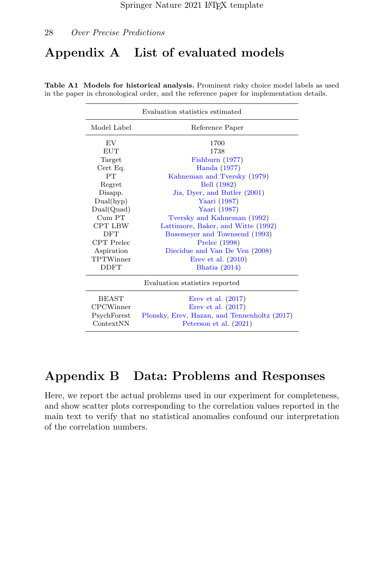## Appendix A List of evaluated models

| Evaluation statistics estimated |                                              |  |  |  |  |  |  |
|---------------------------------|----------------------------------------------|--|--|--|--|--|--|
| Model Label                     | Reference Paper                              |  |  |  |  |  |  |
| EV                              | 1700                                         |  |  |  |  |  |  |
| EUT                             | 1738                                         |  |  |  |  |  |  |
| Target                          | Fishburn $(1977)$                            |  |  |  |  |  |  |
| Cert Eq.                        | Handa (1977)                                 |  |  |  |  |  |  |
| <b>PT</b>                       | Kahneman and Tversky (1979)                  |  |  |  |  |  |  |
| Regret                          | Bell (1982)                                  |  |  |  |  |  |  |
| Disapp.                         | Jia, Dyer, and Butler (2001)                 |  |  |  |  |  |  |
| Dual(hyp)                       | Yaari (1987)                                 |  |  |  |  |  |  |
| Dual(Quad)                      | Yaari (1987)                                 |  |  |  |  |  |  |
| $Cum$ PT                        | Tversky and Kahneman (1992)                  |  |  |  |  |  |  |
| <b>CPT LBW</b>                  | Lattimore, Baker, and Witte (1992)           |  |  |  |  |  |  |
| <b>DFT</b>                      | Busemeyer and Townsend (1993)                |  |  |  |  |  |  |
| <b>CPT</b> Prelec               | Prelec (1998)                                |  |  |  |  |  |  |
| Aspiration                      | Diecidue and Van De Ven (2008)               |  |  |  |  |  |  |
| TPTWinner                       | Erev et al. $(2010)$                         |  |  |  |  |  |  |
| <b>DDFT</b>                     | Bhatia (2014)                                |  |  |  |  |  |  |
|                                 | Evaluation statistics reported               |  |  |  |  |  |  |
| <b>BEAST</b>                    | Erev et al. $(2017)$                         |  |  |  |  |  |  |
| <b>CPCWinner</b>                | Erev et al. $(2017)$                         |  |  |  |  |  |  |
| PsychForest                     | Plonsky, Erev, Hazan, and Tennenholtz (2017) |  |  |  |  |  |  |
| ContextNN                       | Peterson et al. (2021)                       |  |  |  |  |  |  |

Table A1 Models for historical analysis. Prominent risky choice model labels as used in the paper in chronological order, and the reference paper for implementation details.

## Appendix B Data: Problems and Responses

Here, we report the actual problems used in our experiment for completeness, and show scatter plots corresponding to the correlation values reported in the main text to verify that no statistical anomalies confound our interpretation of the correlation numbers.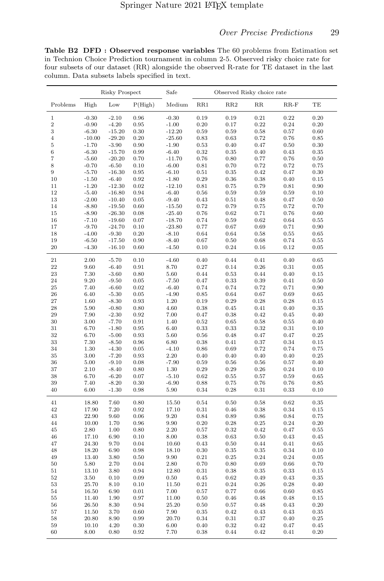Table B2 DFD : Observed response variables The 60 problems from Estimation set in Technion Choice Prediction tournament in column 2-5. Observed risky choice rate for four subsets of our dataset (RR) alongside the observed R-rate for TE dataset in the last column. Data subsets labels specified in text.

|                     |                    | <b>Risky Prospect</b> |              | Safe                |                    | Observed Risky choice rate |                    |              |              |
|---------------------|--------------------|-----------------------|--------------|---------------------|--------------------|----------------------------|--------------------|--------------|--------------|
| Problems            | High               | Low                   | P(High)      | Medium              | RR1                | RR2                        | $_{\rm RR}$        | $RR-F$       | TE           |
| $\,1$               | $-0.30$            | $-2.10$               | 0.96         | $-0.30$             | 0.19               | 0.19                       | 0.21               | $\rm 0.22$   | 0.20         |
| $\overline{2}$      | $-0.90$            | $-4.20$               | 0.95         | $-1.00$             | 0.20               | 0.17                       | 0.22               | 0.24         | 0.20         |
| 3                   | $-6.30$            | $-15.20$              | 0.30         | $-12.20$            | 0.59               | 0.59                       | 0.58               | 0.57         | 0.60         |
| $\overline{4}$      | $-10.00$           | $-29.20$              | 0.20         | $-25.60$            | $\rm 0.83$         | 0.63                       | 0.72               | 0.76         | 0.85         |
| $\overline{5}$      | $-1.70$            | $-3.90$               | 0.90         | $-1.90$             | 0.53               | 0.40                       | 0.47               | 0.50         | 0.30         |
| 6                   | $-6.30$            | $-15.70$              | 0.99         | $-6.40$             | 0.32               | 0.35                       | 0.40               | 0.43         | 0.35         |
| $\overline{7}$<br>8 | $-5.60$<br>$-0.70$ | $-20.20$<br>$-6.50$   | 0.70<br>0.10 | $-11.70$<br>$-6.00$ | 0.76<br>$\rm 0.81$ | 0.80<br>0.70               | 0.77<br>0.72       | 0.76<br>0.72 | 0.50<br>0.75 |
| 9                   | $-5.70$            | $-16.30$              | 0.95         | $-6.10$             | $\rm 0.51$         | 0.35                       | 0.42               | 0.47         | 0.30         |
| 10                  | $-1.50$            | $-6.40$               | 0.92         | $-1.80$             | 0.29               | 0.36                       | 0.38               | 0.40         | 0.15         |
| 11                  | $-1.20$            | $-12.30$              | 0.02         | $-12.10$            | 0.81               | 0.75                       | 0.79               | 0.81         | 0.90         |
| 12                  | $-5.40$            | $-16.80$              | 0.94         | $-6.40$             | 0.56               | 0.59                       | 0.59               | 0.59         | 0.10         |
| 13                  | $-2.00$            | $-10.40$              | 0.05         | $-9.40$             | 0.43               | 0.51                       | 0.48               | 0.47         | 0.50         |
| 14                  | $-8.80$            | $-19.50$              | 0.60         | $-15.50$            | 0.72               | 0.79                       | 0.75               | 0.72         | 0.70         |
| 15                  | $-8.90$            | $-26.30$              | 0.08         | $-25.40$            | 0.76               | 0.62                       | 0.71               | 0.76         | 0.60         |
| 16                  | $-7.10$            | $-19.60$              | $0.07\,$     | $-18.70$            | 0.74               | $\rm 0.59$                 | 0.62               | 0.64         | 0.55         |
| 17                  | $-9.70$            | $-24.70$              | 0.10<br>0.20 | $-23.80$            | 0.77<br>0.64       | 0.67                       | 0.69               | 0.71<br>0.55 | 0.90<br>0.65 |
| 18<br>19            | $-4.00$<br>$-6.50$ | $-9.30$<br>$-17.50$   | 0.90         | $-8.10$<br>$-8.40$  | 0.67               | 0.64<br>$0.50\,$           | 0.58<br>0.68       | 0.74         | 0.55         |
| 20                  | $-4.30$            | $-16.10$              | 0.60         | $-4.50$             | $0.10\,$           | 0.24                       | 0.16               | 0.12         | 0.05         |
| 21                  | 2.00               | $-5.70$               | 0.10         | $-4.60$             | 0.40               | 0.44                       | 0.41               | 0.40         | 0.65         |
| 22                  | 9.60               | $-6.40$               | $\rm 0.91$   | 8.70                | 0.27               | 0.14                       | $\rm 0.26$         | 0.31         | 0.05         |
| 23                  | 7.30               | $-3.60$               | 0.80         | 5.60                | 0.44               | 0.53                       | 0.44               | 0.40         | 0.15         |
| 24                  | 9.20               | $-9.50$               | 0.05         | $-7.50$             | 0.47               | 0.33                       | 0.39               | 0.41         | 0.50         |
| 25                  | 7.40               | $-6.60$               | 0.02         | $-6.40$             | 0.74               | 0.74                       | 0.72               | 0.71         | 0.90         |
| 26                  | 6.40               | $-5.30$               | 0.05         | $-4.90$             | 0.85               | 0.64                       | 0.67               | 0.69         | 0.65         |
| 27<br>28            | 1.60<br>5.90       | $-8.30$<br>$-0.80$    | 0.93<br>0.80 | $1.20\,$<br>4.60    | 0.19<br>0.38       | 0.29<br>0.45               | 0.28<br>0.41       | 0.28<br>0.40 | 0.15<br>0.35 |
| 29                  | 7.90               | $-2.30$               | 0.92         | 7.00                | 0.47               | 0.38                       | 0.42               | 0.45         | 0.40         |
| 30                  | 3.00               | $-7.70$               | 0.91         | 1.40                | 0.52               | 0.65                       | 0.58               | 0.55         | 0.40         |
| 31                  | 6.70               | $-1.80$               | 0.95         | 6.40                | 0.33               | 0.33                       | 0.32               | 0.31         | 0.10         |
| 32                  | 6.70               | $-5.00$               | 0.93         | 5.60                | 0.56               | 0.48                       | 0.47               | 0.47         | 0.25         |
| 33                  | 7.30               | $-8.50$               | 0.96         | 6.80                | $\rm 0.38$         | 0.41                       | $0.37\,$           | 0.34         | 0.15         |
| 34                  | 1.30               | $-4.30$               | 0.05         | $-4.10$             | $\rm 0.86$         | 0.69                       | 0.72               | 0.74         | 0.75         |
| 35                  | 3.00               | $-7.20$               | 0.93         | 2.20                | 0.40               | 0.40                       | 0.40               | 0.40         | 0.25         |
| 36                  | 5.00               | $-9.10$               | 0.08         | $-7.90$             | 0.59               | 0.56                       | 0.56               | 0.57         | 0.40         |
| 37                  | 2.10               | $-8.40$               | 0.80         | 1.30                | 0.29               | 0.29                       | 0.26               | 0.24         | 0.10         |
| 38<br>39            | 6.70<br>7.40       | $-6.20$<br>$-8.20$    | 0.07<br>0.30 | $-5.10$<br>$-6.90$  | 0.62<br>0.88       | 0.55<br>0.75               | 0.57<br>0.76       | 0.59<br>0.76 | 0.65<br>0.85 |
| 40                  | 6.00               | $-1.30$               | 0.98         | 5.90                | $\rm 0.34$         | 0.28                       | 0.31               | 0.33         | 0.10         |
|                     |                    |                       |              |                     |                    |                            |                    |              |              |
| 41<br>42            | 18.80<br>17.90     | 7.60<br>7.20          | 0.80<br>0.92 | 15.50<br>17.10      | 0.54<br>$\rm 0.31$ | 0.50<br>0.46               | 0.58<br>0.38       | 0.62<br>0.34 | 0.35<br>0.15 |
| 43                  | 22.90              | 9.60                  | 0.06         | 9.20                | 0.84               | 0.89                       | 0.86               | 0.84         | 0.75         |
| 44                  | 10.00              | 1.70                  | 0.96         | 9.90                | 0.20               | 0.28                       | 0.25               | 0.24         | 0.20         |
| 45                  | 2.80               | 1.00                  | 0.80         | 2.20                | 0.57               | 0.32                       | 0.42               | 0.47         | 0.55         |
| 46                  | 17.10              | 6.90                  | 0.10         | 8.00                | $\rm 0.38$         | 0.63                       | $0.50\,$           | 0.43         | 0.45         |
| 47                  | 24.30              | 9.70                  | 0.04         | 10.60               | 0.43               | 0.50                       | 0.44               | 0.41         | 0.65         |
| 48                  | 18.20              | 6.90                  | 0.98         | 18.10               | $\rm 0.30$         | 0.35                       | 0.35               | 0.34         | 0.10         |
| 49                  | 13.40              | 3.80                  | $0.50\,$     | 9.90                | 0.21               | 0.25                       | 0.24               | 0.24         | 0.05         |
| 50                  | 5.80               | 2.70                  | 0.04         | 2.80                | 0.70               | 0.80                       | 0.69               | 0.66         | 0.70         |
| 51                  | 13.10              | 3.80                  | 0.94         | 12.80               | 0.31               | 0.38                       | 0.35               | 0.33         | 0.15         |
| 52                  | 3.50               | 0.10                  | 0.09         | 0.50                | 0.45               | 0.62                       | 0.49               | 0.43         | 0.35         |
| 53<br>54            | 25.70<br>16.50     | 8.10<br>6.90          | 0.10<br>0.01 | 11.50<br>7.00       | $\rm 0.21$<br>0.57 | 0.24<br>0.77               | $\rm 0.26$<br>0.66 | 0.28<br>0.60 | 0.40<br>0.85 |
| 55                  | 11.40              | 1.90                  | 0.97         | 11.00               | 0.50               | 0.46                       | 0.48               | 0.48         | 0.15         |
| 56                  | 26.50              | 8.30                  | 0.94         | 25.20               | 0.50               | 0.57                       | 0.48               | 0.43         | 0.20         |
| 57                  | 11.50              | 3.70                  | 0.60         | $7.90\,$            | $\rm 0.35$         | 0.42                       | 0.43               | 0.43         | 0.35         |
| 58                  | 20.80              | 8.90                  | 0.99         | 20.70               | 0.34               | 0.31                       | 0.37               | 0.40         | 0.25         |
| 59                  | 10.10              | 4.20                  | 0.30         | 6.00                | 0.40               | 0.32                       | 0.42               | 0.47         | 0.45         |
| 60                  | 8.00               | 0.80                  | 0.92         | 7.70                | $\rm 0.38$         | 0.44                       | 0.42               | 0.41         | 0.20         |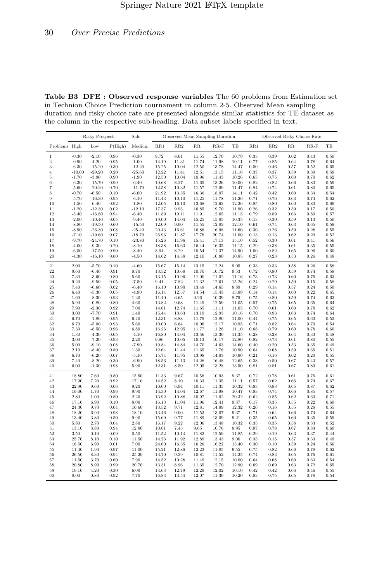Table B3 DFE : Observed response variables The 60 problems from Estimation set in Technion Choice Prediction tournament in column 2-5. Observed Mean sampling duration and risky choice rate are presented alongside similar statistics for TE dataset as the column in the respective sub-heading. Data subset labels specified in text.

|                |                    | <b>Risky Prospect</b> |              | Safe                 |                |                |                | Observed Mean Sampling Duration |                |              |              |              | Observed Risky Choice Rate |                        |
|----------------|--------------------|-----------------------|--------------|----------------------|----------------|----------------|----------------|---------------------------------|----------------|--------------|--------------|--------------|----------------------------|------------------------|
| Problems High  |                    | Low                   | P(High)      | Medium               | RR1            | RR2            | $_{\rm RR}$    | $RR-F$                          | TE             | RR1          | RR2          | RR           | $RR-F$                     | TE                     |
| $\,1$          | $-0.30$            | $-2.10$               | 0.96         | $-0.30$              | 9.72           | $8.61\,$       | 11.55          | 12.70                           | 10.79          | 0.33         | 0.39         | 0.62         | 0.43                       | 0.50                   |
| $\overline{2}$ | $-0.90$            | $-4.20$               | 0.95         | $-1.00$              | 14.19          | 11.31          | 11.74          | 11.98                           | 10.11          | 0.77         | 0.85         | 0.64         | 0.78                       | 0.64                   |
| 3              | $-6.30$            | $-15.20$              | 0.30         | $-12.20$             | 15.25          | 10.04          | 12.50          | 13.78                           | 14.47          | 0.50         | 0.46         | 0.57         | 0.52                       | 0.65                   |
| $\overline{4}$ | $-10.00$           | $-29.20$              | 0.20         | $-25.60$             | 12.22          | 11.41          | 12.51          | 13.15                           | 11.16          | 0.37         | 0.37         | 0.59         | 0.39                       | 0.58                   |
| 5<br>6         | $-1.70$<br>$-6.30$ | $-3.90$<br>$-15.70$   | 0.90<br>0.99 | $-1.90$<br>$-6.40$   | 12.50<br>10.68 | 10.04<br>8.27  | 10.96<br>11.65 | 11.43<br>13.26                  | 10.26<br>10.00 | 0.63<br>0.82 | 0.75<br>0.82 | 0.60<br>0.66 | 0.70<br>0.83               | $_{0.62}$<br>$_{0.59}$ |
| $\overline{7}$ | $-5.60$            | $-20.20$              | 0.70         | $-11.70$             | 12.58          | 10.32          | 11.57          | 12.09                           | 11.47          | 0.84         | 0.74         | 0.61         | 0.80                       | $_{0.65}$              |
| 8              | $-0.70$            | $-6.50$               | 0.10         | $-6.00$              | 21.92          | 13.35          | 16.36          | 18.07                           | 14.11          | 0.42         | 0.42         | 0.60         | 0.33                       | 0.54                   |
| 9              | $-5.70$            | $-16.30$              | 0.95         | $-6.10$              | 11.43          | 10.10          | 11.25          | 11.78                           | 11.26          | 0.71         | 0.76         | 0.63         | 0.74                       | 0.62                   |
| 10             | $-1.50$            | $-6.40$               | 0.92         | $-1.80$              | 12.05          | 16.10          | 13.68          | 12.63                           | 12.26          | 0.85         | 0.80         | 0.60         | 0.83                       | 0.69                   |
| 11             | $-1.20$            | $-12.30$              | $\rm 0.02$   | $-12.10$             | 17.37          | 9.95           | 16.85          | 19.70                           | 11.90          | 0.26         | $\rm 0.32$   | 0.59         | 0.17                       | $_{0.50}$              |
| 12             | $-5.40$            | $-16.80$              | 0.94         | $-6.40$              | 11.89          | 10.11          | 11.91          | 12.65                           | 11.15          | 0.79         | 0.89         | 0.63         | 0.80                       | $_{0.57}$              |
| 13             | $-2.00$            | $-10.40$              | 0.05         | $-9.40$              | 19.00          | 14.04          | 15.25          | 15.85                           | 10.35          | 0.13         | 0.30         | 0.59         | 0.13                       | 0.50                   |
| 14             | $-8.80$            | $-19.50$              | 0.60         | $-15.50$             | 12.09          | 9.00           | 11.55          | 12.83                           | 12.10          | 0.61         | 0.74         | 0.63         | 0.65                       | $_{0.59}$              |
| 15<br>16       | $-8.90$<br>$-7.10$ | $-26.30$<br>$-19.60$  | 0.08<br>0.07 | $-25.40$<br>$-18.70$ | 20.43<br>26.96 | 16.61<br>11.87 | 16.86<br>17.78 | 16.98<br>20.74                  | 11.60<br>11.00 | 0.30<br>0.13 | 0.26<br>0.13 | 0.59<br>0.62 | 0.28<br>0.20               | $_{0.55}$<br>0.52      |
| 17             | $-9.70$            | $-24.70$              | 0.10         | $-23.80$             | 15.26          | 11.96          | 15.41          | 17.13                           | 15.10          | 0.52         | 0.30         | 0.61         | 0.41                       | $_{0.56}$              |
| 18             | $-4.00$            | $-9.30$               | 0.20         | $-8.10$              | 18.38          | 16.63          | 16.44          | 16.35                           | 11.15          | 0.29         | 0.38         | 0.61         | 0.35                       | $_{0.55}$              |
| 19             | $-6.50$            | $-17.50$              | 0.90         | $-8.40$              | 8.94           | 8.29           | 10.54          | 11.37                           | 14.90          | 1.00         | 0.82         | 0.65         | 0.96                       | 0.60                   |
| 20             | $-4.30$            | $-16.10$              | 0.60         | $-4.50$              | 14.62          | 14.38          | 12.10          | 10.80                           | 10.85          | 0.27         | 0.23         | 0.53         | 0.26                       | 0.48                   |
| 21             | 2.00               | $-5.70$               | 0.10         | $-4.60$              | 15.67          | 15.14          | 13.15          | 12.24                           | 9.05           | 0.33         | 0.33         | 0.58         | 0.26                       | 0.58                   |
| 22             | 9.60               | $-6.40$               | 0.91         | 8.70                 | 13.52          | 10.68          | 10.70          | 10.72                           | 9.53           | 0.72         | 0.80         | 0.59         | 0.74                       | $_{0.58}$              |
| 23             | 7.30               | $-3.60$               | 0.80         | 5.60                 | 13.15          | 10.96          | 11.00          | 11.02                           | 11.16          | 0.73         | 0.73         | 0.60         | 0.76                       | 0.63                   |
| 24             | 9.20               | $-9.50$               | 0.05         | $-7.50$              | 9.41           | 7.82           | 11.32          | 12.61                           | 15.26          | 0.24         | 0.29         | 0.59         | 0.15                       | 0.58                   |
| 25             | 7.40               | $-6.60$               | 0.02         | $-6.40$              | 16.10          | 10.90          | 13.48          | 14.65                           | 8.89           | 0.29         | 0.14         | 0.57         | 0.24                       | $_{0.50}$              |
| 26             | 6.40               | $-5.30$               | 0.05         | $-4.90$              | 16.14          | 12.57          | 14.54          | 15.43                           | 13.89          | 0.14         | 0.14         | 0.60         | 0.22                       | $_{0.65}$              |
| 27<br>28       | 1.60<br>5.90       | $-8.30$               | 0.93         | 1.20<br>4.60         | 11.40<br>13.82 | 6.65           | 9.26<br>11.49  | 10.39<br>12.59                  | 8.79<br>11.05  | 0.75         | 0.80         | 0.59         | 0.74                       | 0.63                   |
| 29             | 7.90               | $-0.80$<br>$-2.30$    | 0.80<br>0.92 | 7.00                 | 14.61          | 9.68<br>12.74  | 11.65          | 11.11                           | 11.05          | 0.57<br>0.70 | 0.75<br>0.61 | 0.65<br>0.60 | 0.65<br>0.78               | 0.64<br>0.62           |
| 30             | 3.00               | $-7.70$               | 0.91         | 1.40                 | 15.44          | 13.63          | 13.19          | 12.93                           | 10.16          | 0.70         | 0.93         | 0.63         | 0.74                       | 0.64                   |
| 31             | 6.70               | $-1.80$               | 0.95         | 6.40                 | 12.31          | 8.88           | 11.79          | 12.80                           | 11.00          | 0.44         | 0.75         | 0.65         | 0.63                       | 0.53                   |
| 32             | 6.70               | $-5.00$               | 0.93         | 5.60                 | 10.00          | 6.64           | 10.08          | 12.17                           | 10.95          | 0.71         | 0.82         | 0.64         | 0.70                       | 0.54                   |
| 33             | 7.30               | $-8.50$               | 0.96         | 6.80                 | 16.26          | 12.95          | 11.77          | 11.28                           | 11.10          | 0.68         | 0.79         | 0.60         | 0.78                       | 0.60                   |
| 34             | 1.30               | $-4.30$               | 0.05         | $-4.10$              | 16.80          | 14.04          | 13.56          | 13.30                           | 11.35          | 0.28         | 0.28         | 0.64         | 0.33                       | 0.48                   |
| 35             | 3.00               | $-7.20$               | 0.93         | 2.20                 | 9.86           | 10.05          | 10.13          | 10.17                           | 12.80          | 0.82         | 0.73         | 0.61         | 0.80                       | 0.55                   |
| 36             | 5.00               | $-9.10$               | 0.08         | $-7.90$              | 19.84          | 14.84          | 14.70          | 14.63                           | 14.60          | 0.40         | 0.20         | 0.53         | 0.35                       | 0.49                   |
| 37<br>38       | 2.10<br>6.70       | $-8.40$<br>$-6.20$    | 0.80<br>0.07 | 1.30                 | 12.64<br>15.74 | 11.44<br>11.95 | 11.65<br>13.98 | 11.76<br>14.83                  | 10.90<br>10.90 | 0.64<br>0.21 | 0.68<br>0.16 | 0.59<br>0.62 | 0.65<br>0.20               | $_{0.51}$              |
| 39             | 7.40               | $-8.20$               | 0.30         | $-5.10$<br>$-6.90$   | 18.56          | 11.13          | 14.28          | 16.48                           | 12.65          | 0.38         | 0.50         | 0.67         | 0.43                       | $_{0.55}$<br>$_{0.57}$ |
| 40             | 6.00               | $-1.30$               | 0.98         | 5.90                 | 12.31          | 8.50           | 12.05          | 13.28                           | 13.50          | 0.81         | 0.81         | 0.67         | 0.89                       | 0.61                   |
| 41             | 18.80              | 7.60                  | 0.80         | 15.50                | 11.33          | 9.67           | 10.58          | 10.93                           | 9.37           | 0.72         | 0.78         | 0.61         | 0.76                       | 0.61                   |
| 42             | 17.90              | 7.20                  | 0.92         | 17.10                | 14.52          | 8.10           | 10.33          | 11.35                           | 11.11          | 0.57         | 0.62         | 0.66         | 0.74                       | 0.67                   |
| 43             | 22.90              | 9.60                  | 0.06         | 9.20                 | 10.00          | 6.94           | 10.11          | 11.35                           | 10.32          | 0.83         | 0.83         | 0.65         | 0.87                       | 0.62                   |
| 44             | 10.00              | 1.70                  | 0.96         | 9.90                 | 14.30          | 14.04          | 12.67          | 11.98                           | 10.47          | 0.83         | 0.74         | 0.66         | 0.85                       | $_{0.57}$              |
| 45             | 2.80               | 1.00                  | 0.80         | 2.20                 | 13.92          | 10.88          | 10.97          | 11.02                           | 20.32          | 0.62         | 0.85         | 0.62         | 0.63                       | $_{0.71}$              |
| 46             | 17.10              | 6.90                  | 0.10         | 8.00                 | 16.13          | 11.04          | 11.96          | 12.41                           | 9.37           | 0.17         | 0.35         | 0.55         | 0.22                       | 0.60                   |
| 47             | 24.30              | 9.70                  | 0.04         | 10.60                | 13.52          | 9.71           | 12.81          | 14.89                           | 12.32          | 0.26         | 0.16         | 0.55         | 0.28                       | $_{0.55}$              |
| 48             | 18.20              | 6.90                  | 0.98         | 18.10                | 13.46          | 9.00           | 11.53          | 13.07                           | 9.37           | 0.71         | 0.64         | 0.66         | 0.74                       | 0.64                   |
| 49             | 13.40              | 3.80                  | 0.50         | 9.90                 | 15.69          | 9.77           | 11.89          | 13.09                           | 9.21           | 0.35         | 0.65         | 0.60         | 0.35                       | $_{0.59}$              |
| 50<br>51       | 5.80<br>13.10      | 2.70<br>3.80          | 0.04<br>0.94 | 2.80<br>12.80        | 16.17<br>10.61 | 9.22<br>7.43   | 12.06<br>9.65  | 13.48<br>10.76                  | 10.32<br>8.95  | 0.35<br>0.87 | 0.35<br>0.78 | 0.58<br>0.67 | 0.33<br>0.83               | 0.52<br>0.60           |
| 52             | 3.50               | 0.10                  | 0.09         | 0.50                 | 11.52          | 10.14          | 11.82          | 12.59                           | 11.85          | 0.29         | 0.19         | 0.63         | 0.37                       | $_{0.44}$              |
| 53             | 25.70              | 8.10                  | 0.10         | 11.50                | 14.23          | 11.92          | 12.89          | 13.43                           | 9.00           | 0.35         | 0.15         | 0.57         | 0.33                       | 0.49                   |
| 54             | 16.50              | 6.90                  | 0.01         | 7.00                 | 24.60          | 16.35          | 16.26          | 16.22                           | 13.40          | 0.30         | 0.10         | 0.59         | 0.24                       | 0.56                   |
| 55             | 11.40              | 1.90                  | 0.97         | 11.00                | 15.21          | 12.86          | 12.23          | 11.85                           | 9.55           | 0.75         | 0.82         | 0.66         | 0.78                       | 0.62                   |
| 56             | 26.50              | 8.30                  | 0.94         | 25.20                | 13.70          | 9.39           | 10.81          | 11.52                           | 14.25          | 0.74         | 0.83         | 0.65         | 0.76                       | $_{0.61}$              |
| 57             | 11.50              | 3.70                  | 0.60         | 7.90                 | 14.52          | 10.28          | 11.49          | 12.15                           | 10.00          | 0.64         | 0.68         | 0.60         | 0.63                       | 0.54                   |
| 58             | 20.80              | 8.90                  | 0.99         | 20.70                | 13.31          | 8.96           | 11.35          | 12.70                           | 12.90          | 0.69         | 0.69         | 0.63         | 0.72                       | 0.65                   |
| 59             | 10.10              | 4.20                  | 0.30         | 6.00                 | 14.63          | 12.79          | 12.29          | 12.02                           | 10.10          | 0.42         | 0.42         | 0.66         | 0.46                       | 0.55                   |
| 60             | 8.00               | 0.80                  | 0.92         | 7.70                 | 16.83          | 13.54          | 12.07          | 11.30                           | 10.20          | 0.83         | 0.75         | 0.65         | 0.78                       | $_{0.54}$              |